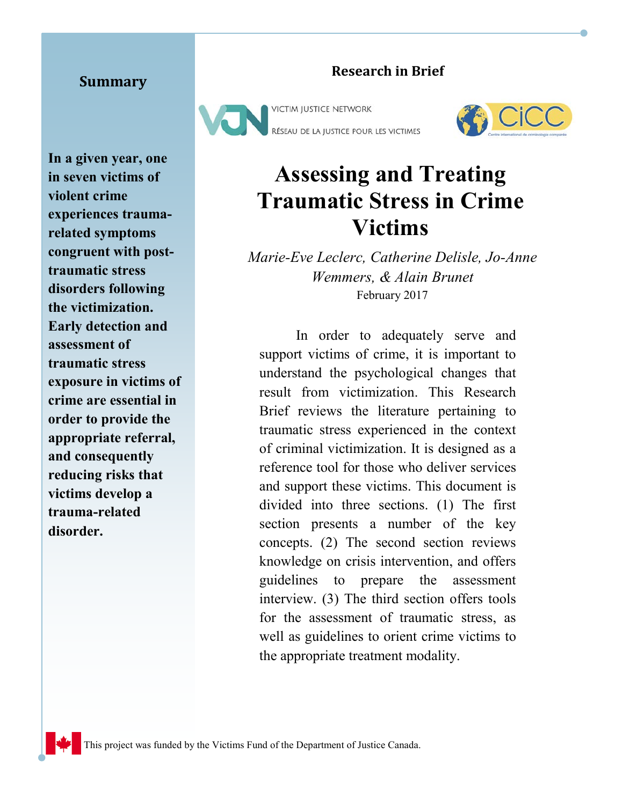#### **Summary**

**In a given year, one in seven victims of violent crime experiences traumarelated symptoms congruent with posttraumatic stress disorders following the victimization. Early detection and assessment of traumatic stress exposure in victims of crime are essential in order to provide the appropriate referral, and consequently reducing risks that victims develop a trauma-related disorder.** 

#### **Research in Brief**





#### **Assessing and Treating Traumatic Stress in Crime Victims**

*Marie-Eve Leclerc, Catherine Delisle, Jo-Anne Wemmers, & Alain Brunet* February 2017

In order to adequately serve and support victims of crime, it is important to understand the psychological changes that result from victimization. This Research Brief reviews the literature pertaining to traumatic stress experienced in the context of criminal victimization. It is designed as a reference tool for those who deliver services and support these victims. This document is divided into three sections. (1) The first section presents a number of the key concepts. (2) The second section reviews knowledge on crisis intervention, and offers guidelines to prepare the assessment interview. (3) The third section offers tools for the assessment of traumatic stress, as well as guidelines to orient crime victims to the appropriate treatment modality.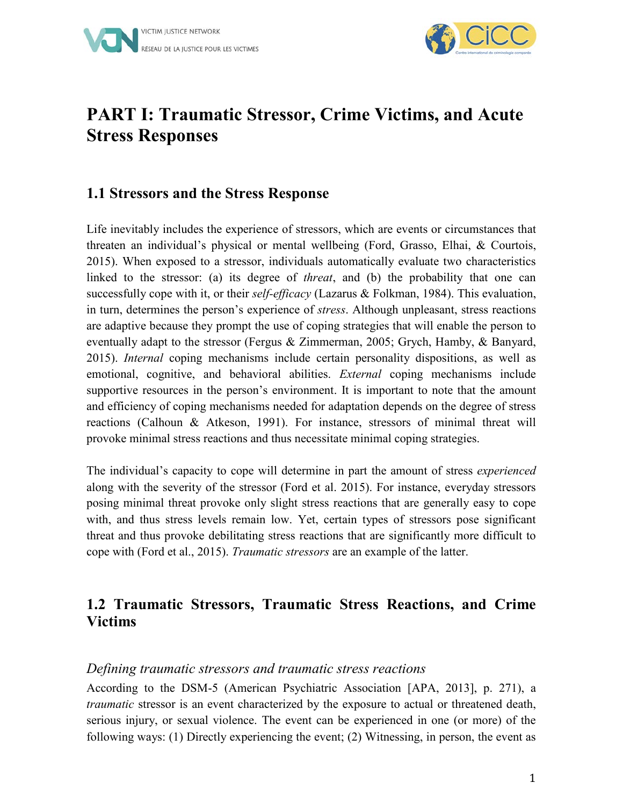



#### **PART I: Traumatic Stressor, Crime Victims, and Acute Stress Responses**

#### **1.1 Stressors and the Stress Response**

Life inevitably includes the experience of stressors, which are events or circumstances that threaten an individual's physical or mental wellbeing (Ford, Grasso, Elhai, & Courtois, 2015). When exposed to a stressor, individuals automatically evaluate two characteristics linked to the stressor: (a) its degree of *threat*, and (b) the probability that one can successfully cope with it, or their *self-efficacy* (Lazarus & Folkman, 1984). This evaluation, in turn, determines the person's experience of *stress*. Although unpleasant, stress reactions are adaptive because they prompt the use of coping strategies that will enable the person to eventually adapt to the stressor (Fergus & Zimmerman, 2005; Grych, Hamby, & Banyard, 2015). *Internal* coping mechanisms include certain personality dispositions, as well as emotional, cognitive, and behavioral abilities. *External* coping mechanisms include supportive resources in the person's environment. It is important to note that the amount and efficiency of coping mechanisms needed for adaptation depends on the degree of stress reactions (Calhoun & Atkeson, 1991). For instance, stressors of minimal threat will provoke minimal stress reactions and thus necessitate minimal coping strategies.

The individual's capacity to cope will determine in part the amount of stress *experienced* along with the severity of the stressor (Ford et al. 2015). For instance, everyday stressors posing minimal threat provoke only slight stress reactions that are generally easy to cope with, and thus stress levels remain low. Yet, certain types of stressors pose significant threat and thus provoke debilitating stress reactions that are significantly more difficult to cope with (Ford et al., 2015). *Traumatic stressors* are an example of the latter.

#### **1.2 Traumatic Stressors, Traumatic Stress Reactions, and Crime Victims**

#### *Defining traumatic stressors and traumatic stress reactions*

According to the DSM-5 (American Psychiatric Association [APA, 2013], p. 271), a *traumatic* stressor is an event characterized by the exposure to actual or threatened death, serious injury, or sexual violence. The event can be experienced in one (or more) of the following ways: (1) Directly experiencing the event; (2) Witnessing, in person, the event as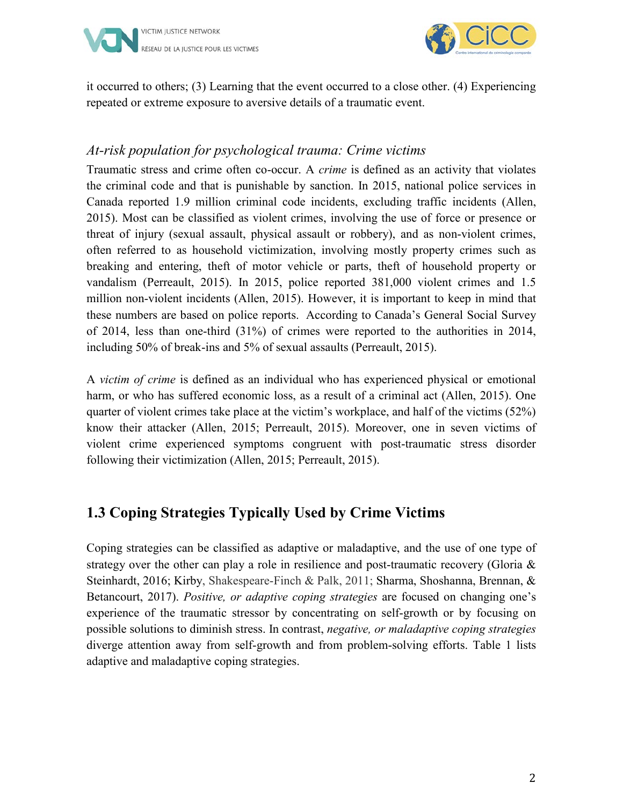



it occurred to others; (3) Learning that the event occurred to a close other. (4) Experiencing repeated or extreme exposure to aversive details of a traumatic event.

#### *At-risk population for psychological trauma: Crime victims*

Traumatic stress and crime often co-occur. A *crime* is defined as an activity that violates the criminal code and that is punishable by sanction. In 2015, national police services in Canada reported 1.9 million criminal code incidents, excluding traffic incidents (Allen, 2015). Most can be classified as violent crimes, involving the use of force or presence or threat of injury (sexual assault, physical assault or robbery), and as non-violent crimes, often referred to as household victimization, involving mostly property crimes such as breaking and entering, theft of motor vehicle or parts, theft of household property or vandalism (Perreault, 2015). In 2015, police reported 381,000 violent crimes and 1.5 million non-violent incidents (Allen, 2015). However, it is important to keep in mind that these numbers are based on police reports. According to Canada's General Social Survey of 2014, less than one-third (31%) of crimes were reported to the authorities in 2014, including 50% of break-ins and 5% of sexual assaults (Perreault, 2015).

A *victim of crime* is defined as an individual who has experienced physical or emotional harm, or who has suffered economic loss, as a result of a criminal act (Allen, 2015). One quarter of violent crimes take place at the victim's workplace, and half of the victims (52%) know their attacker (Allen, 2015; Perreault, 2015). Moreover, one in seven victims of violent crime experienced symptoms congruent with post-traumatic stress disorder following their victimization (Allen, 2015; Perreault, 2015).

#### **1.3 Coping Strategies Typically Used by Crime Victims**

Coping strategies can be classified as adaptive or maladaptive, and the use of one type of strategy over the other can play a role in resilience and post-traumatic recovery (Gloria & Steinhardt, 2016; Kirby, Shakespeare-Finch & Palk, 2011; Sharma, Shoshanna, Brennan, & Betancourt, 2017). *Positive, or adaptive coping strategies* are focused on changing one's experience of the traumatic stressor by concentrating on self-growth or by focusing on possible solutions to diminish stress. In contrast, *negative, or maladaptive coping strategies* diverge attention away from self-growth and from problem-solving efforts. Table 1 lists adaptive and maladaptive coping strategies.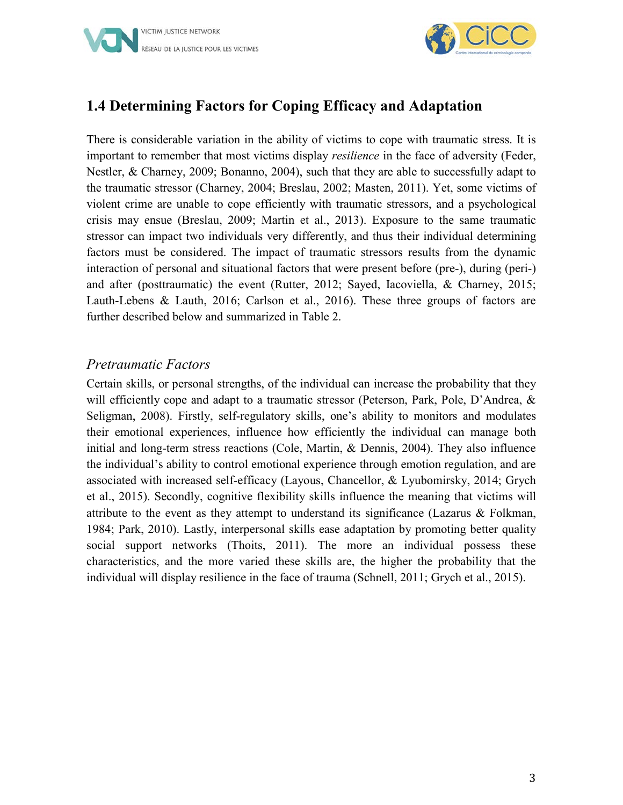

#### **1.4 Determining Factors for Coping Efficacy and Adaptation**

There is considerable variation in the ability of victims to cope with traumatic stress. It is important to remember that most victims display *resilience* in the face of adversity (Feder, Nestler, & Charney, 2009; Bonanno, 2004), such that they are able to successfully adapt to the traumatic stressor (Charney, 2004; Breslau, 2002; Masten, 2011). Yet, some victims of violent crime are unable to cope efficiently with traumatic stressors, and a psychological crisis may ensue (Breslau, 2009; Martin et al., 2013). Exposure to the same traumatic stressor can impact two individuals very differently, and thus their individual determining factors must be considered. The impact of traumatic stressors results from the dynamic interaction of personal and situational factors that were present before (pre-), during (peri-) and after (posttraumatic) the event (Rutter, 2012; Sayed, Iacoviella, & Charney, 2015; Lauth-Lebens & Lauth, 2016; Carlson et al., 2016). These three groups of factors are further described below and summarized in Table 2.

#### *Pretraumatic Factors*

Certain skills, or personal strengths, of the individual can increase the probability that they will efficiently cope and adapt to a traumatic stressor (Peterson, Park, Pole, D'Andrea, & Seligman, 2008). Firstly, self-regulatory skills, one's ability to monitors and modulates their emotional experiences, influence how efficiently the individual can manage both initial and long-term stress reactions (Cole, Martin, & Dennis, 2004). They also influence the individual's ability to control emotional experience through emotion regulation, and are associated with increased self-efficacy (Layous, Chancellor, & Lyubomirsky, 2014; Grych et al., 2015). Secondly, cognitive flexibility skills influence the meaning that victims will attribute to the event as they attempt to understand its significance (Lazarus  $\&$  Folkman, 1984; Park, 2010). Lastly, interpersonal skills ease adaptation by promoting better quality social support networks (Thoits, 2011). The more an individual possess these characteristics, and the more varied these skills are, the higher the probability that the individual will display resilience in the face of trauma (Schnell, 2011; Grych et al., 2015).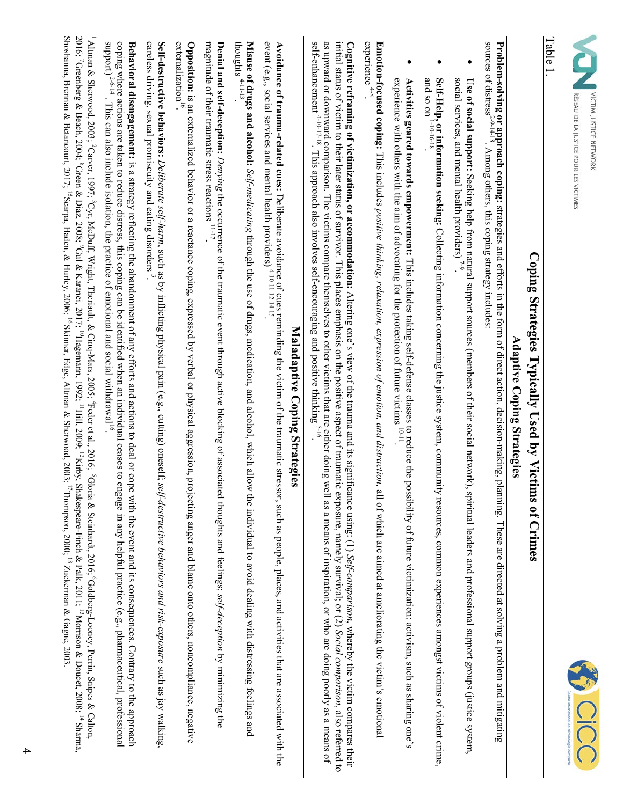| U DE LA JUSTICE POUR LES Y | Ĥ<br>Ş |
|----------------------------|--------|



### Table 1.

# Coping Strategies Typically Used by Victims of Crimes **Coping Strategies Typically Used by Victims of Crimes**

## **Adaptive Coping Strategies** Adaptive Coping Strategies

**Problem-solving or approach coping:** strategies and efforts in the form of direct action, decision-making, plaming. These are directed at solving a problem and mitigating<br>sources of distress<sup>2,9,14-18</sup>. Among others, thi sources of distress<sup>2-9-14-18</sup>. Among others, this coping strategy includes: **Problem-solving or approach coping:** strategies and efforts in the form of direct action, decision-making, planning. These are directed at solving a problem and mitigating

- social services, and mental health providers) Use of social support: Seeking help from natural support sources (members of their social network), spiritual leaders and professional support groups (justice system,  $\frac{1}{1.9}$ social services, and mental health providers)  $\overline{r}^9$ . **Use of social support:** Seeking help from natural support sources (members of their social network), spiritual leaders and professional support groups (justice system,
- **Self-Help, or information seeking:** Collecting information concerning the justice system, community resources, common experiences amongst victims of violent crime,<br>and so on <sup>1-10-16-18</sup>. and so on  $1-10-16-18$ . **Self-Help, or information seeking:** Collecting information concerning the justice system, community resources, common experiences amongst victims of violent crime,
- **Activities geared towards empowerment:** This includes taking self-defense classes to reduce the possibility of future victimization; activism, such as sharing one's<br>experience with others with the aim of advocating for th experience with others with the aim of advocating for the protection of future victims 10-11. **Activities geared towards empowerment:** This includes taking self-defense classes to reduce the possibility of future victimization; activism, such as sharing one's

experience **Emotion-focused coping:** This includes *positive thinking, relaxation, expression of emotion, and distraction*, all of which are aimed at ameliorating the victim's emotional are expression of emotion and distriction and experience  $^{4-8}$ **Emotion-focused coping:** This includes *positive thinking, relaxation, expression of emotion, and distraction,* all of which are aimed at ameliorating the victim's emotional

as upward or downward comparison. The victims compare themselves to other victims that are either doing well as a means of inspiration, or who are doing poorly as a means of self-enhancement <sup>4-10-17-18</sup>. This approach al initial status of victim to their later status of survivor. This places emphasis on the positive aspect of traumatic exposure, namely survival; or (2) Social comparison, also referred to Cognitive reframing of victimization, or accommodation: Altering one's view of the trauma and its significance using: (1) Self-comparison, whereby the victim compares their self-enhancement  $4^{-10-17-18}$ . This approach also involves self-encouraging and positive thinking  $5^{-16}$ . as upward or downward comparison. The victims compare themselves to other victims that are either doing well as a means of inspiration, or who are doing poorly as a means of initial status of victim to their later status of survivor. This places emphasis on the positive aspect of traumatic exposure, namely survival; or (2) **Cognitive reframing of victimization, or accommodation:** Altering one's view of the trauma and its significance using:  $(1)$ *Self-comparison*, whereby the victim compares their *Social comparison*, also referred to

# Maladaptive Coping Strategies **Maladaptive Coping Strategies**

**Avoidance of trauma-related cues:** Deliberate avoidance of cues reminding the victim of the traumatic stressor, such as people, places, and activities that are associated with the event (e.g., social services and mental event (e.g., social services and mental health providers)  $4-10-11-12-14-15$ . **Avoidance of trauma-related cues:** Deliberate avoidance of cues reminding the victim of the traumatic stressor, such as people, places, and activities that are associated with the

thoughts  $4^{-11-13}$ . **Misuse of drugs and alcohol:** *Self-medicating* through the use of drugs, medication, and alcohol, which allow the individual to avoid dealing with distressing feelings and

**Denial and self-deception:** *Denying* the occurrence of the traumatic event through active blocking of associated thoughts and feelings; *self-deception* by minimizing the magnitude of their traumatic stress reactions  $^{11-17}$ **Denial and self-deception:** *Denying* the occurrence of the traumatic event through active blocking of associated thoughts and feelings; self-deception by minimizing the<br>magnitude of their traumatic stress reactions <sup>11-1</sup>

externalization<sup>16</sup>. Opposition: is an externalized behavior or a reactance coping, expressed by verbal or physical aggression, projecting anger and blame onto others, noncompliance, negative  $ext{emalization}^{16}$ **Opposition:** is an externalized behavior or a reactance coping, expressed by verbal or physical aggression, projecting anger and blame onto others, noncompliance, negative

careless driving, sexual promiscuity and eating disorders<sup>2</sup>. Self-destructive behaviors: *Deliberate self-harm*, such as by inflicting physical pain (e.g., cutting) oneself; se*lf-destructive behaviors and risk-exposure* such as jay walking careless driving, sexual promiscuity and eating disorders  $^3$ . **Self-destructive behaviors:** *Deliberate self-harm*, such as by inflicting physical pain (e.g., cutting) oneself; *self-destructive behaviors and risk-exposure* such as jay walking,

Behavioral disengagement: is a strategy reflecting the abandomment of any efforts and actions to deal or cope with the event and its consequences. Contrary to the approach support) coping where actions are taken to reduce distress, this coping can be identified when an individual ceases to engage in any helpful practice (e.g., pharmaceutical, professional **Behavioral disengagement:** 2-6-14 . This can also include isolation, the practice of emotional and social withdrawal<sup>16</sup>. . This can also include isolation, the practice of is a strategy reflecting the abandonment of any efforts and actions to deal or cope with the event and its consequences. Contrary to the approach emotional and social withdrawal16.

Shoshanna, Brennan & Betancourt, 2017; <sup>15</sup>Scarpa, Haden, & Hurley, 2006; <sup>16</sup> Skinner, Edge, Altman & Sherwood, 2003; <sup>17</sup>Thompson, 2000; <sup>18</sup> Zuckerman & Gagne, 2003 2016; 7 Greenberg & Beach, 2004; <sup>8</sup> Green & Diaz, 2008; <sup>9</sup> Gul & Karanci, 2017; <sup>10</sup>Hagemann, 1992; <sup>11</sup>Hill, 2009; <sup>11</sup>Kirby, Shakespeare-Finch & Palk, 2011; <sup>13</sup>Morrison & Doucet, 2008; <sup>14</sup> Sharma,  $2016$ ;  $7$ Greenberg  $\&$ Shoshanna, Brennan & Betancourt, 2017; <sup>1</sup> Altman & Sherwood, 2003; <sup>2</sup>Carver, 1997; <sup>3</sup>Cyr, McDuff, Wright, Theriault, & Cinq-Mars, 2005; <sup>4</sup>Feder et al., 2016; <sup>5</sup>Gloria & Steinhardt, 2016; <sup>6</sup>Goldberg-Looney, Perrin, Snipes & Calton,  $1$  Altman & Sherwood, 2003; <sup>2</sup>Carver, 1997; Beach, 2004; <sup>8</sup>Green & Diaz, 2008; 15Scarpa, Haden, & Hurley, 2006; 16 Skinner, Edge, Altman & Sherwood, 2003;  $^{3}$ Cyr, McDuff, Wright, Theriault, & Cinq  $^{9}$ Gul & Karanci, 2017;  $^{10}$ Hagemann, 1992;  $^{11}$ Hill, 200 $^{21}$ .  $^{11}$ Hill, 200 $^{11}$  Shakespeare-Pinch & Palk,  $^{12}$ Norrison & Doucet, 2008;  $^{14}$  Sharma, 2008; 14 Sharma, 2008; 14 Sharma, 2008; 14 Sharma, 2008; 14 Sharma, 2008; 14 Sharm -Mars, 2005;  $^{4}$ Feder et al., 2016;  $^{5}$ Gloria & Steinhardt, 2016; 17Thompson, 2000; 18 Zuckerman & Gagne, 2003. -Looney, Perrin, Snipes & Calton,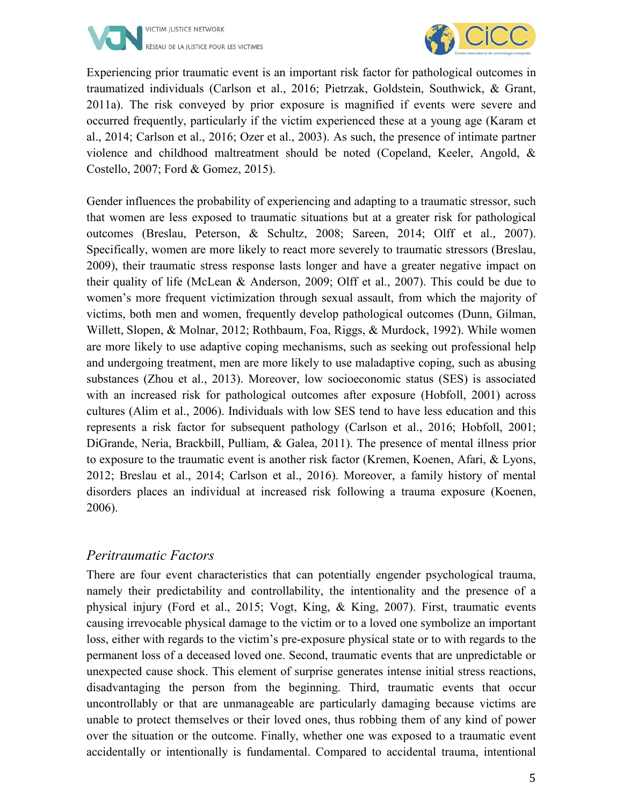



Experiencing prior traumatic event is an important risk factor for pathological outcomes in traumatized individuals (Carlson et al., 2016; Pietrzak, Goldstein, Southwick, & Grant, 2011a). The risk conveyed by prior exposure is magnified if events were severe and occurred frequently, particularly if the victim experienced these at a young age (Karam et al., 2014; Carlson et al., 2016; Ozer et al., 2003). As such, the presence of intimate partner violence and childhood maltreatment should be noted (Copeland, Keeler, Angold, & Costello, 2007; Ford & Gomez, 2015).

Gender influences the probability of experiencing and adapting to a traumatic stressor, such that women are less exposed to traumatic situations but at a greater risk for pathological outcomes (Breslau, Peterson, & Schultz, 2008; Sareen, 2014; Olff et al., 2007). Specifically, women are more likely to react more severely to traumatic stressors (Breslau, 2009), their traumatic stress response lasts longer and have a greater negative impact on their quality of life (McLean & Anderson, 2009; Olff et al., 2007). This could be due to women's more frequent victimization through sexual assault, from which the majority of victims, both men and women, frequently develop pathological outcomes (Dunn, Gilman, Willett, Slopen, & Molnar, 2012; Rothbaum, Foa, Riggs, & Murdock, 1992). While women are more likely to use adaptive coping mechanisms, such as seeking out professional help and undergoing treatment, men are more likely to use maladaptive coping, such as abusing substances (Zhou et al., 2013). Moreover, low socioeconomic status (SES) is associated with an increased risk for pathological outcomes after exposure (Hobfoll, 2001) across cultures (Alim et al., 2006). Individuals with low SES tend to have less education and this represents a risk factor for subsequent pathology (Carlson et al., 2016; Hobfoll, 2001; DiGrande, Neria, Brackbill, Pulliam, & Galea, 2011). The presence of mental illness prior to exposure to the traumatic event is another risk factor (Kremen, Koenen, Afari, & Lyons, 2012; Breslau et al., 2014; Carlson et al., 2016). Moreover, a family history of mental disorders places an individual at increased risk following a trauma exposure (Koenen, 2006).

#### *Peritraumatic Factors*

There are four event characteristics that can potentially engender psychological trauma, namely their predictability and controllability, the intentionality and the presence of a physical injury (Ford et al., 2015; Vogt, King, & King, 2007). First, traumatic events causing irrevocable physical damage to the victim or to a loved one symbolize an important loss, either with regards to the victim's pre-exposure physical state or to with regards to the permanent loss of a deceased loved one. Second, traumatic events that are unpredictable or unexpected cause shock. This element of surprise generates intense initial stress reactions, disadvantaging the person from the beginning. Third, traumatic events that occur uncontrollably or that are unmanageable are particularly damaging because victims are unable to protect themselves or their loved ones, thus robbing them of any kind of power over the situation or the outcome. Finally, whether one was exposed to a traumatic event accidentally or intentionally is fundamental. Compared to accidental trauma, intentional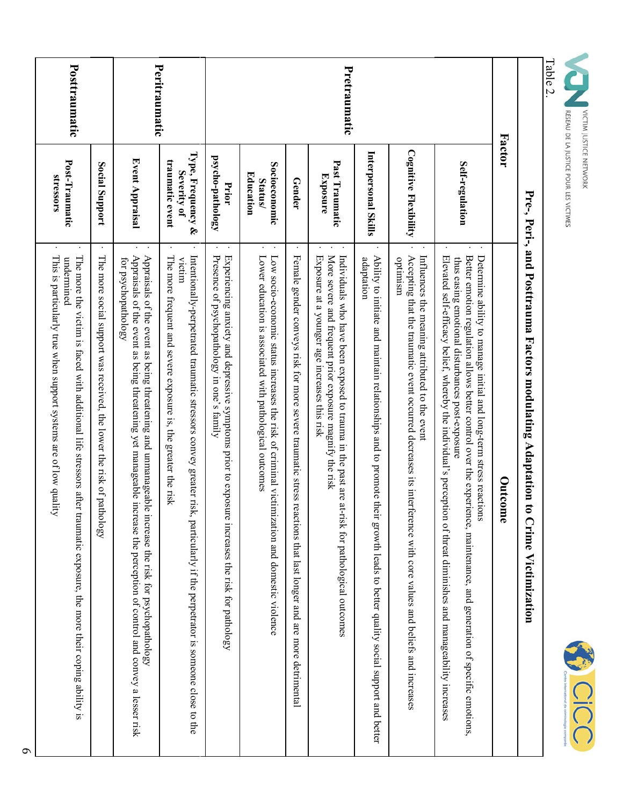|                                                                                                                                                                            |                                                                            | Peritraumatic                                                                                                                                                                                                                                         |                                                                                                                                                                                                        |                                                                                                                                                     |                                                                                                                                                          |                                                                                                                 | Pretraumatic                                                                                                                                                                                                  |                                                                                                                                                |                                                                                                                                                                                 |                                                                                                                                                                                                                                                                                                                                                                            | <b>Factor</b> |                                                                                            | <b>Table 2.</b> |
|----------------------------------------------------------------------------------------------------------------------------------------------------------------------------|----------------------------------------------------------------------------|-------------------------------------------------------------------------------------------------------------------------------------------------------------------------------------------------------------------------------------------------------|--------------------------------------------------------------------------------------------------------------------------------------------------------------------------------------------------------|-----------------------------------------------------------------------------------------------------------------------------------------------------|----------------------------------------------------------------------------------------------------------------------------------------------------------|-----------------------------------------------------------------------------------------------------------------|---------------------------------------------------------------------------------------------------------------------------------------------------------------------------------------------------------------|------------------------------------------------------------------------------------------------------------------------------------------------|---------------------------------------------------------------------------------------------------------------------------------------------------------------------------------|----------------------------------------------------------------------------------------------------------------------------------------------------------------------------------------------------------------------------------------------------------------------------------------------------------------------------------------------------------------------------|---------------|--------------------------------------------------------------------------------------------|-----------------|
| Post-Traumatic                                                                                                                                                             | Social Support                                                             | Event Appraisal                                                                                                                                                                                                                                       | Type, Frequency &<br>traumatic event<br>Severity of                                                                                                                                                    | psycho-pathology<br>Prior                                                                                                                           | Socioeconomic<br>Education<br>Status/                                                                                                                    | Gender                                                                                                          | Past Traumatic<br><b>Exposure</b>                                                                                                                                                                             | Interpersonal Skills                                                                                                                           | <b>Cognitive Flexibility</b>                                                                                                                                                    | Self-regulation                                                                                                                                                                                                                                                                                                                                                            |               |                                                                                            |                 |
| The more the victim is the difficular and it is the victim is the victim is the set of $\frac{1}{2}$<br>undermined<br>traumatic exposure, the more their coping ability is | The more social support was received, the lower the risk of pat<br>thology | Appraisals of the event as being threatening yet manageable increase the perception of control and convey a lesser risk<br>Appraisals of the event as being threatening and unmanageable increase the risk for psychopathology<br>for psychopathology | The more frequent and severe exposure is, the greater the risk<br>Intentionally-perpetrated traumatic stressors convey greater risk, particularly if the perpetrator is someone close to the<br>victim | Presence of psychopathology in one's family<br>Experiencing anxiety and depressive symptoms prior to exposu<br>ure increases the risk for pathology | Low socio-economic status increases the risk of criminal victimization and domestic violence<br>Lower education is associated with pathological outcomes | Female gender conveys risk for more severe traumatic stress reactions that last longer and are more detrimental | More severe and frequent prior exposure magnify the risk<br>Individuals who have been exposed to trauma in the past are<br>Exposure at a younger age increases this risk<br>at-risk for pathological outcomes | Ability to initiate and maintain relationships and to promote th<br>adaptation<br>eir growth leads to better quality social support and better | Influences the meaning attributed to the event<br>Accepting that the traumatic event occurred decreases its interference with core values and beliefs and increases<br>optimism | Better emotion regulation allows better control over the experi<br>Determine ability to manage initial and long-term stress reactions<br>Elevated self-efficacy belief, whereby the individual's perception of threat diminishes and manageability increases<br>thus easing emotional disturbances post-exposure<br>ence, maintenance, and generation of specific emotions | Outcome       | Pre-, Peri-, and Posttrauma Factors modulating Adaptation to<br><b>Crime Victimization</b> |                 |



A CICC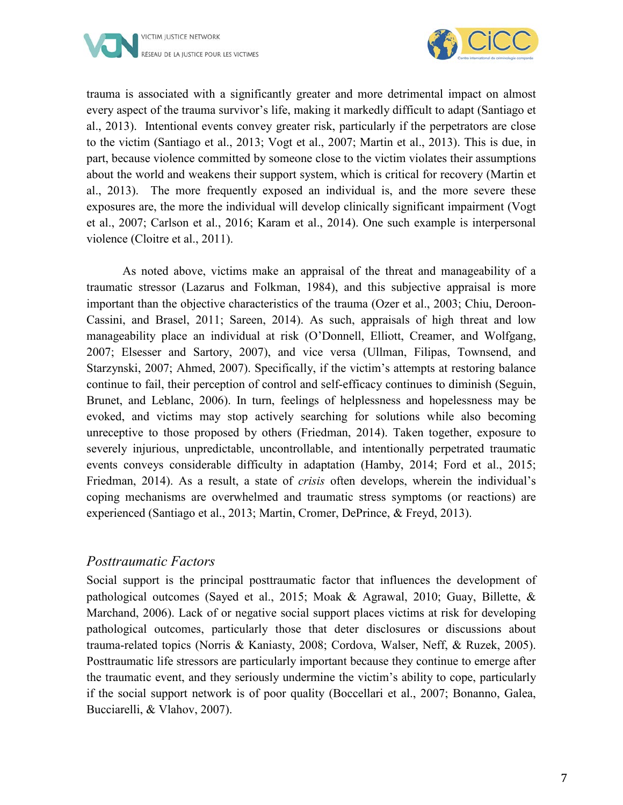



trauma is associated with a significantly greater and more detrimental impact on almost every aspect of the trauma survivor's life, making it markedly difficult to adapt (Santiago et al., 2013). Intentional events convey greater risk, particularly if the perpetrators are close to the victim (Santiago et al., 2013; Vogt et al., 2007; Martin et al., 2013). This is due, in part, because violence committed by someone close to the victim violates their assumptions about the world and weakens their support system, which is critical for recovery (Martin et al., 2013). The more frequently exposed an individual is, and the more severe these exposures are, the more the individual will develop clinically significant impairment (Vogt et al., 2007; Carlson et al., 2016; Karam et al., 2014). One such example is interpersonal violence (Cloitre et al., 2011).

As noted above, victims make an appraisal of the threat and manageability of a traumatic stressor (Lazarus and Folkman, 1984), and this subjective appraisal is more important than the objective characteristics of the trauma (Ozer et al., 2003; Chiu, Deroon-Cassini, and Brasel, 2011; Sareen, 2014). As such, appraisals of high threat and low manageability place an individual at risk (O'Donnell, Elliott, Creamer, and Wolfgang, 2007; Elsesser and Sartory, 2007), and vice versa (Ullman, Filipas, Townsend, and Starzynski, 2007; Ahmed, 2007). Specifically, if the victim's attempts at restoring balance continue to fail, their perception of control and self-efficacy continues to diminish (Seguin, Brunet, and Leblanc, 2006). In turn, feelings of helplessness and hopelessness may be evoked, and victims may stop actively searching for solutions while also becoming unreceptive to those proposed by others (Friedman, 2014). Taken together, exposure to severely injurious, unpredictable, uncontrollable, and intentionally perpetrated traumatic events conveys considerable difficulty in adaptation (Hamby, 2014; Ford et al., 2015; Friedman, 2014). As a result, a state of *crisis* often develops, wherein the individual's coping mechanisms are overwhelmed and traumatic stress symptoms (or reactions) are experienced (Santiago et al., 2013; Martin, Cromer, DePrince, & Freyd, 2013).

#### *Posttraumatic Factors*

Social support is the principal posttraumatic factor that influences the development of pathological outcomes (Sayed et al., 2015; Moak & Agrawal, 2010; Guay, Billette, & Marchand, 2006). Lack of or negative social support places victims at risk for developing pathological outcomes, particularly those that deter disclosures or discussions about trauma-related topics (Norris & Kaniasty, 2008; Cordova, Walser, Neff, & Ruzek, 2005). Posttraumatic life stressors are particularly important because they continue to emerge after the traumatic event, and they seriously undermine the victim's ability to cope, particularly if the social support network is of poor quality (Boccellari et al., 2007; Bonanno, Galea, Bucciarelli, & Vlahov, 2007).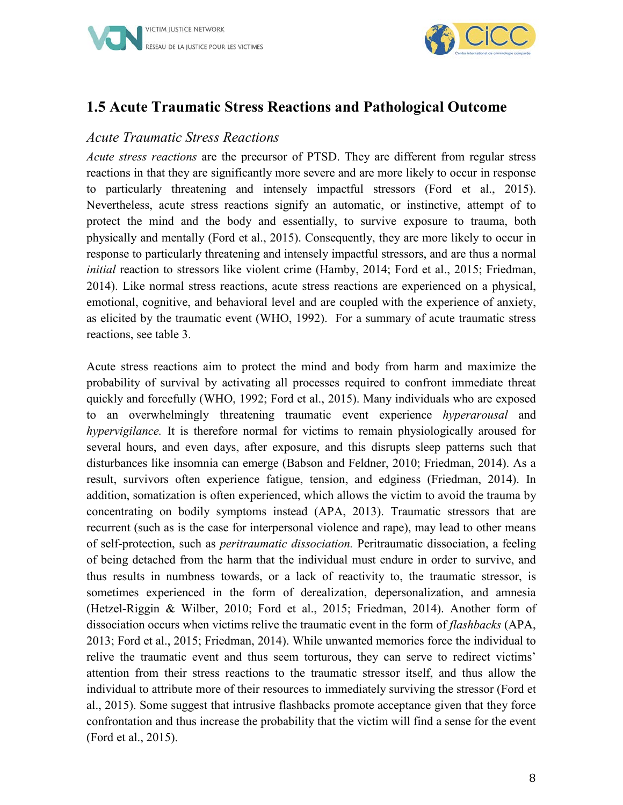



#### **1.5 Acute Traumatic Stress Reactions and Pathological Outcome**

#### *Acute Traumatic Stress Reactions*

*Acute stress reactions* are the precursor of PTSD. They are different from regular stress reactions in that they are significantly more severe and are more likely to occur in response to particularly threatening and intensely impactful stressors (Ford et al., 2015). Nevertheless, acute stress reactions signify an automatic, or instinctive, attempt of to protect the mind and the body and essentially, to survive exposure to trauma, both physically and mentally (Ford et al., 2015). Consequently, they are more likely to occur in response to particularly threatening and intensely impactful stressors, and are thus a normal *initial* reaction to stressors like violent crime (Hamby, 2014; Ford et al., 2015; Friedman, 2014). Like normal stress reactions, acute stress reactions are experienced on a physical, emotional, cognitive, and behavioral level and are coupled with the experience of anxiety, as elicited by the traumatic event (WHO, 1992). For a summary of acute traumatic stress reactions, see table 3.

Acute stress reactions aim to protect the mind and body from harm and maximize the probability of survival by activating all processes required to confront immediate threat quickly and forcefully (WHO, 1992; Ford et al., 2015). Many individuals who are exposed to an overwhelmingly threatening traumatic event experience *hyperarousal* and *hypervigilance.* It is therefore normal for victims to remain physiologically aroused for several hours, and even days, after exposure, and this disrupts sleep patterns such that disturbances like insomnia can emerge (Babson and Feldner, 2010; Friedman, 2014). As a result, survivors often experience fatigue, tension, and edginess (Friedman, 2014). In addition, somatization is often experienced, which allows the victim to avoid the trauma by concentrating on bodily symptoms instead (APA, 2013). Traumatic stressors that are recurrent (such as is the case for interpersonal violence and rape), may lead to other means of self-protection, such as *peritraumatic dissociation.* Peritraumatic dissociation, a feeling of being detached from the harm that the individual must endure in order to survive, and thus results in numbness towards, or a lack of reactivity to, the traumatic stressor, is sometimes experienced in the form of derealization, depersonalization, and amnesia (Hetzel-Riggin & Wilber, 2010; Ford et al., 2015; Friedman, 2014). Another form of dissociation occurs when victims relive the traumatic event in the form of *flashbacks* (APA, 2013; Ford et al., 2015; Friedman, 2014). While unwanted memories force the individual to relive the traumatic event and thus seem torturous, they can serve to redirect victims' attention from their stress reactions to the traumatic stressor itself, and thus allow the individual to attribute more of their resources to immediately surviving the stressor (Ford et al., 2015). Some suggest that intrusive flashbacks promote acceptance given that they force confrontation and thus increase the probability that the victim will find a sense for the event (Ford et al., 2015).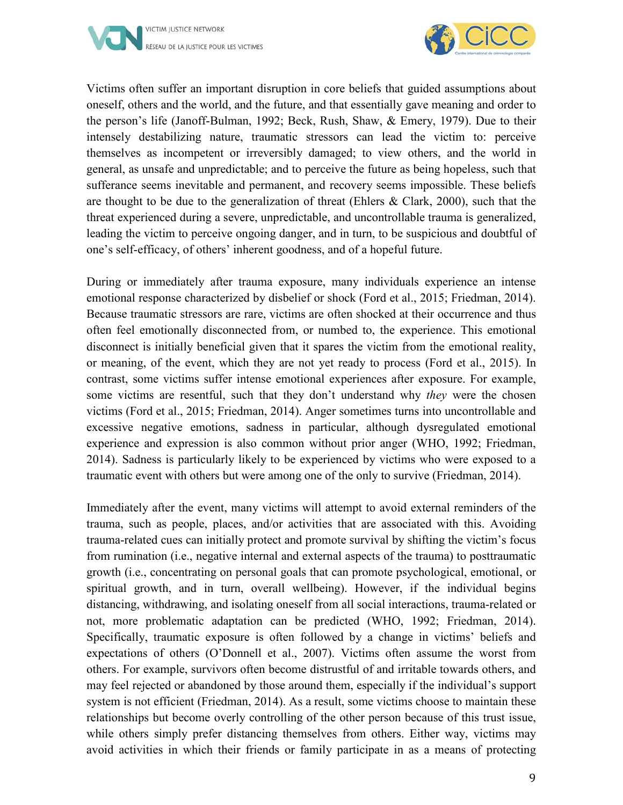



Victims often suffer an important disruption in core beliefs that guided assumptions about oneself, others and the world, and the future, and that essentially gave meaning and order to the person's life (Janoff-Bulman, 1992; Beck, Rush, Shaw, & Emery, 1979). Due to their intensely destabilizing nature, traumatic stressors can lead the victim to: perceive themselves as incompetent or irreversibly damaged; to view others, and the world in general, as unsafe and unpredictable; and to perceive the future as being hopeless, such that sufferance seems inevitable and permanent, and recovery seems impossible. These beliefs are thought to be due to the generalization of threat (Ehlers & Clark, 2000), such that the threat experienced during a severe, unpredictable, and uncontrollable trauma is generalized, leading the victim to perceive ongoing danger, and in turn, to be suspicious and doubtful of one's self-efficacy, of others' inherent goodness, and of a hopeful future.

During or immediately after trauma exposure, many individuals experience an intense emotional response characterized by disbelief or shock (Ford et al., 2015; Friedman, 2014). Because traumatic stressors are rare, victims are often shocked at their occurrence and thus often feel emotionally disconnected from, or numbed to, the experience. This emotional disconnect is initially beneficial given that it spares the victim from the emotional reality, or meaning, of the event, which they are not yet ready to process (Ford et al., 2015). In contrast, some victims suffer intense emotional experiences after exposure. For example, some victims are resentful, such that they don't understand why *they* were the chosen victims (Ford et al., 2015; Friedman, 2014). Anger sometimes turns into uncontrollable and excessive negative emotions, sadness in particular, although dysregulated emotional experience and expression is also common without prior anger (WHO, 1992; Friedman, 2014). Sadness is particularly likely to be experienced by victims who were exposed to a traumatic event with others but were among one of the only to survive (Friedman, 2014).

Immediately after the event, many victims will attempt to avoid external reminders of the trauma, such as people, places, and/or activities that are associated with this. Avoiding trauma-related cues can initially protect and promote survival by shifting the victim's focus from rumination (i.e., negative internal and external aspects of the trauma) to posttraumatic growth (i.e., concentrating on personal goals that can promote psychological, emotional, or spiritual growth, and in turn, overall wellbeing). However, if the individual begins distancing, withdrawing, and isolating oneself from all social interactions, trauma-related or not, more problematic adaptation can be predicted (WHO, 1992; Friedman, 2014). Specifically, traumatic exposure is often followed by a change in victims' beliefs and expectations of others (O'Donnell et al., 2007). Victims often assume the worst from others. For example, survivors often become distrustful of and irritable towards others, and may feel rejected or abandoned by those around them, especially if the individual's support system is not efficient (Friedman, 2014). As a result, some victims choose to maintain these relationships but become overly controlling of the other person because of this trust issue, while others simply prefer distancing themselves from others. Either way, victims may avoid activities in which their friends or family participate in as a means of protecting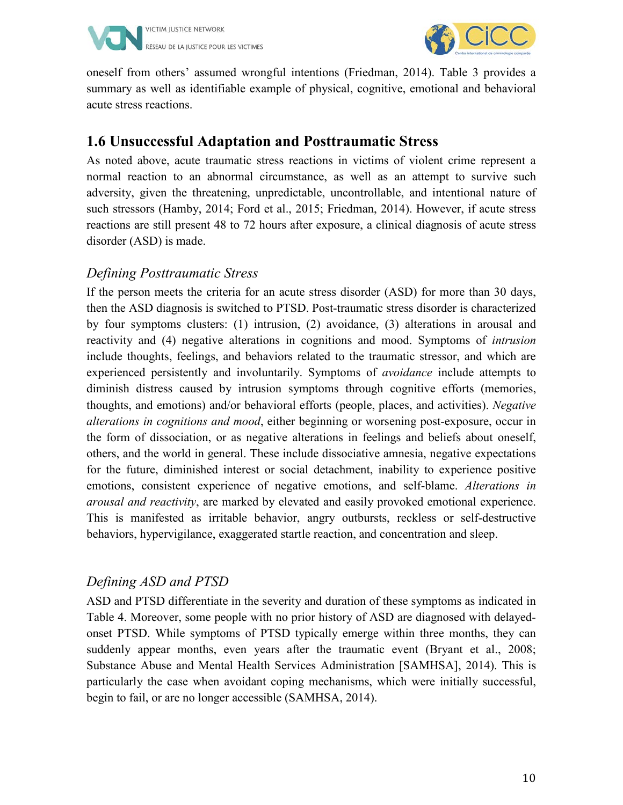



oneself from others' assumed wrongful intentions (Friedman, 2014). Table 3 provides a summary as well as identifiable example of physical, cognitive, emotional and behavioral acute stress reactions.

#### **1.6 Unsuccessful Adaptation and Posttraumatic Stress**

As noted above, acute traumatic stress reactions in victims of violent crime represent a normal reaction to an abnormal circumstance, as well as an attempt to survive such adversity, given the threatening, unpredictable, uncontrollable, and intentional nature of such stressors (Hamby, 2014; Ford et al., 2015; Friedman, 2014). However, if acute stress reactions are still present 48 to 72 hours after exposure, a clinical diagnosis of acute stress disorder (ASD) is made.

#### *Defining Posttraumatic Stress*

If the person meets the criteria for an acute stress disorder (ASD) for more than 30 days, then the ASD diagnosis is switched to PTSD. Post-traumatic stress disorder is characterized by four symptoms clusters: (1) intrusion, (2) avoidance, (3) alterations in arousal and reactivity and (4) negative alterations in cognitions and mood. Symptoms of *intrusion*  include thoughts, feelings, and behaviors related to the traumatic stressor, and which are experienced persistently and involuntarily. Symptoms of *avoidance* include attempts to diminish distress caused by intrusion symptoms through cognitive efforts (memories, thoughts, and emotions) and/or behavioral efforts (people, places, and activities). *Negative alterations in cognitions and mood*, either beginning or worsening post-exposure, occur in the form of dissociation, or as negative alterations in feelings and beliefs about oneself, others, and the world in general. These include dissociative amnesia, negative expectations for the future, diminished interest or social detachment, inability to experience positive emotions, consistent experience of negative emotions, and self-blame. *Alterations in arousal and reactivity*, are marked by elevated and easily provoked emotional experience. This is manifested as irritable behavior, angry outbursts, reckless or self-destructive behaviors, hypervigilance, exaggerated startle reaction, and concentration and sleep.

#### *Defining ASD and PTSD*

ASD and PTSD differentiate in the severity and duration of these symptoms as indicated in Table 4. Moreover, some people with no prior history of ASD are diagnosed with delayedonset PTSD. While symptoms of PTSD typically emerge within three months, they can suddenly appear months, even years after the traumatic event (Bryant et al., 2008; Substance Abuse and Mental Health Services Administration [SAMHSA], 2014). This is particularly the case when avoidant coping mechanisms, which were initially successful, begin to fail, or are no longer accessible (SAMHSA, 2014).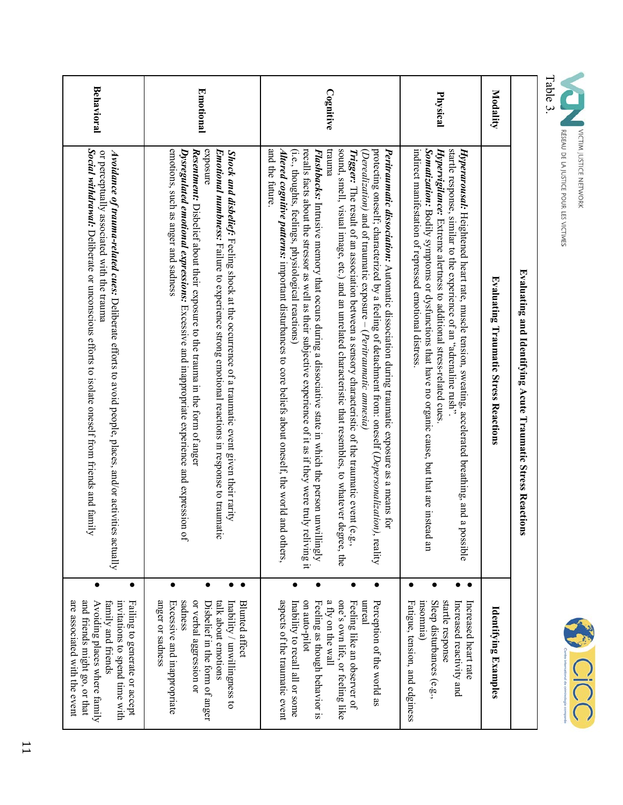



|                   | Evaluating and Identifying Acute Traumatic Stress Reaction<br>ā                                                                                                                                                                                                                                                                                                                                                                                                                                                                                                                                                                                                                                                                                                                                                                                                                                                                                          |                                          |                                                                                                                                                                                                                                                    |
|-------------------|----------------------------------------------------------------------------------------------------------------------------------------------------------------------------------------------------------------------------------------------------------------------------------------------------------------------------------------------------------------------------------------------------------------------------------------------------------------------------------------------------------------------------------------------------------------------------------------------------------------------------------------------------------------------------------------------------------------------------------------------------------------------------------------------------------------------------------------------------------------------------------------------------------------------------------------------------------|------------------------------------------|----------------------------------------------------------------------------------------------------------------------------------------------------------------------------------------------------------------------------------------------------|
| Modality          | <b>Evaluating Traumatic Stress Reactions</b>                                                                                                                                                                                                                                                                                                                                                                                                                                                                                                                                                                                                                                                                                                                                                                                                                                                                                                             |                                          | Identifying Examples                                                                                                                                                                                                                               |
| Physical          | Somatization: Bodily symptoms or dysfunctions that have no organic cause, but that are instead an<br>startle response, similar to the experience of an "adrenaline rush"<br>indirect manifestation of repressed emotional distress<br>Hypervigilance: Extreme alertness to additional stress-related cues<br>Hyperarousal: Heightened heart rate, muscle tension, sweating, accelerated breathing, and a possible                                                                                                                                                                                                                                                                                                                                                                                                                                                                                                                                        | $\bullet$<br>$\bullet$                   | startle response<br>insomnia)<br>Sleep disturbances (e.g.,<br>Fatigue, tension, and edginess<br>Increased reactivity and<br>Increased heart rate                                                                                                   |
| Cognitive         | and the future<br>recalls facts about the stressor as well as their subjective experience of it as if they were truly<br>punnen<br>sound, smell, visual image, etc.) and an unrelated characteristic that resembles, to whatever degree, the<br>protecting oneself; characterized by a feeling of detachment from: oneself ( <i>Depersonalization)</i> , reality<br>Altered cognitive patterns: important disturbances to core beliefs about oneself, the world and<br>Peritrammatic dissociation: Automatic dissociation during traumatic exposure as a means for<br>(i.e., thoughts, feelings, physiological reactions)<br>Flashbacks: Intrusive memory that occurs during a dissociative state in which the person unwillingly<br><b>Trigger:</b> The result of an association between a sensory characteristic of the traumatic event (e.g.,<br>$(Decimalization)$ and of traumatic exposure – $(Peritrummatic$ amnesia)<br>reliving it<br>l others, | $\bullet$<br>$\bullet$<br>$\bullet$      | aspects of the traumatic event<br>a fly on the wall<br>one's own life, or feeling like<br>Perception of the world as<br>on auto-pilot<br>unreal<br>Feeling as though behavior is<br>Feeling like an observer of<br>Inability to recall all or some |
| <b>Emotional</b>  | emotions, such as anger and sadness<br>exposure<br>Dysregulated emotional expressions: Excessive and inappropriate experience and expression<br>Resentment: Disbelief about their exposure to the trauma in the form of anger<br><b>Emotional numbness:</b> Failure to experience strong emotional reactions in response to traumatic<br>Shock and disbelief: Feeling shock at the occurrence of a traumatic event given their rarity<br>٦Ó.                                                                                                                                                                                                                                                                                                                                                                                                                                                                                                             | $\bullet$<br>$\bullet$<br>$\bullet$<br>٠ | sadness<br>anger or sadness<br>or verbal aggression or<br>Excessive and inappropriate<br>talk about emotions<br>Disbelief in the form of anger<br>Inability / unwillingness to<br>Blunted affect                                                   |
| <b>Behavioral</b> | Social night control of the second construction is a signal of the second the second interact and tail of the second interact of $\alpha$ is $\alpha$ is also interest in the second interact of $\alpha$ is $\alpha$ is $\alpha$ is $\alpha$ is $\alpha$<br>or perceptually associated with the trauma<br><b>Avoidance of trauma-related cues:</b> Deliberate efforts to avoid people, places, and/or activities actually<br>≺                                                                                                                                                                                                                                                                                                                                                                                                                                                                                                                          | $\bullet$                                | are associated with the event<br>and friends might go, or that<br>Failing to generate or accept<br>Avoiding places where family<br>family and friends<br>invitations to spend time with                                                            |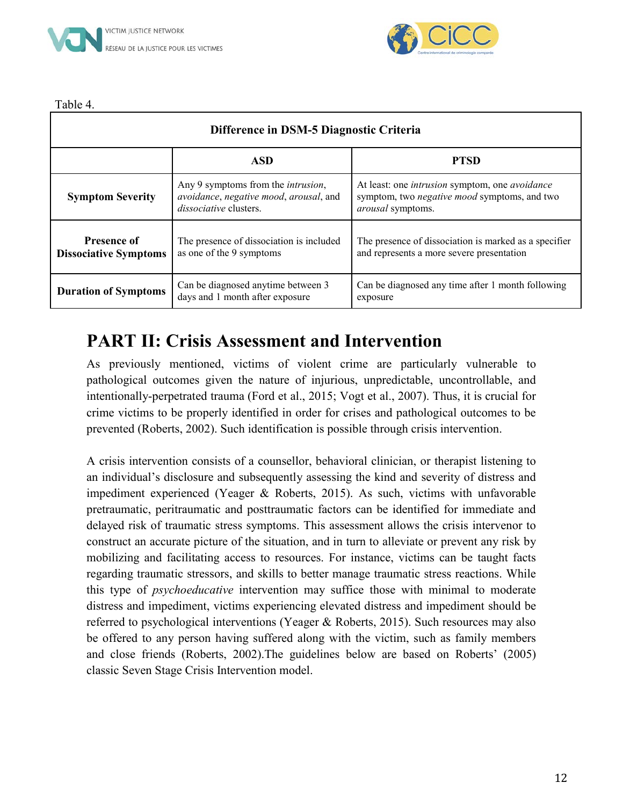



Table 4.

|                                                    | Difference in DSM-5 Diagnostic Criteria                                                                               |                                                                                                                                   |  |  |  |  |
|----------------------------------------------------|-----------------------------------------------------------------------------------------------------------------------|-----------------------------------------------------------------------------------------------------------------------------------|--|--|--|--|
|                                                    | <b>ASD</b>                                                                                                            | <b>PTSD</b>                                                                                                                       |  |  |  |  |
| <b>Symptom Severity</b>                            | Any 9 symptoms from the <i>intrusion</i> ,<br>avoidance, negative mood, arousal, and<br><i>dissociative</i> clusters. | At least: one <i>intrusion</i> symptom, one <i>avoidance</i><br>symptom, two negative mood symptoms, and two<br>arousal symptoms. |  |  |  |  |
| <b>Presence of</b><br><b>Dissociative Symptoms</b> | The presence of dissociation is included<br>as one of the 9 symptoms                                                  | The presence of dissociation is marked as a specifier<br>and represents a more severe presentation                                |  |  |  |  |
| <b>Duration of Symptoms</b>                        | Can be diagnosed anytime between 3<br>days and 1 month after exposure                                                 | Can be diagnosed any time after 1 month following<br>exposure                                                                     |  |  |  |  |

#### **PART II: Crisis Assessment and Intervention**

As previously mentioned, victims of violent crime are particularly vulnerable to pathological outcomes given the nature of injurious, unpredictable, uncontrollable, and intentionally-perpetrated trauma (Ford et al., 2015; Vogt et al., 2007). Thus, it is crucial for crime victims to be properly identified in order for crises and pathological outcomes to be prevented (Roberts, 2002). Such identification is possible through crisis intervention.

A crisis intervention consists of a counsellor, behavioral clinician, or therapist listening to an individual's disclosure and subsequently assessing the kind and severity of distress and impediment experienced (Yeager & Roberts, 2015). As such, victims with unfavorable pretraumatic, peritraumatic and posttraumatic factors can be identified for immediate and delayed risk of traumatic stress symptoms. This assessment allows the crisis intervenor to construct an accurate picture of the situation, and in turn to alleviate or prevent any risk by mobilizing and facilitating access to resources. For instance, victims can be taught facts regarding traumatic stressors, and skills to better manage traumatic stress reactions. While this type of *psychoeducative* intervention may suffice those with minimal to moderate distress and impediment, victims experiencing elevated distress and impediment should be referred to psychological interventions (Yeager & Roberts, 2015). Such resources may also be offered to any person having suffered along with the victim, such as family members and close friends (Roberts, 2002).The guidelines below are based on Roberts' (2005) classic Seven Stage Crisis Intervention model.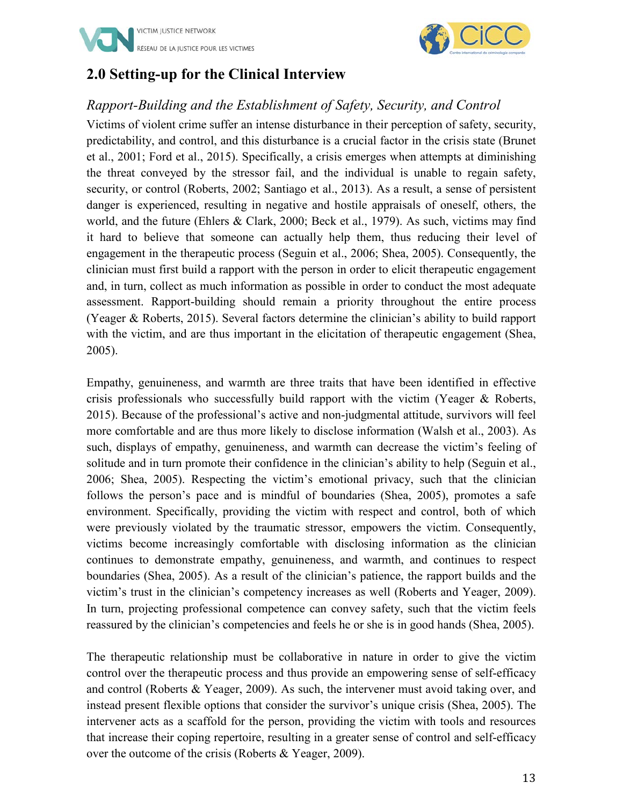



#### **2.0 Setting-up for the Clinical Interview**

#### *Rapport-Building and the Establishment of Safety, Security, and Control*

Victims of violent crime suffer an intense disturbance in their perception of safety, security, predictability, and control, and this disturbance is a crucial factor in the crisis state (Brunet et al., 2001; Ford et al., 2015). Specifically, a crisis emerges when attempts at diminishing the threat conveyed by the stressor fail, and the individual is unable to regain safety, security, or control (Roberts, 2002; Santiago et al., 2013). As a result, a sense of persistent danger is experienced, resulting in negative and hostile appraisals of oneself, others, the world, and the future (Ehlers & Clark, 2000; Beck et al., 1979). As such, victims may find it hard to believe that someone can actually help them, thus reducing their level of engagement in the therapeutic process (Seguin et al., 2006; Shea, 2005). Consequently, the clinician must first build a rapport with the person in order to elicit therapeutic engagement and, in turn, collect as much information as possible in order to conduct the most adequate assessment. Rapport-building should remain a priority throughout the entire process (Yeager & Roberts, 2015). Several factors determine the clinician's ability to build rapport with the victim, and are thus important in the elicitation of therapeutic engagement (Shea, 2005).

Empathy, genuineness, and warmth are three traits that have been identified in effective crisis professionals who successfully build rapport with the victim (Yeager & Roberts, 2015). Because of the professional's active and non-judgmental attitude, survivors will feel more comfortable and are thus more likely to disclose information (Walsh et al., 2003). As such, displays of empathy, genuineness, and warmth can decrease the victim's feeling of solitude and in turn promote their confidence in the clinician's ability to help (Seguin et al., 2006; Shea, 2005). Respecting the victim's emotional privacy, such that the clinician follows the person's pace and is mindful of boundaries (Shea, 2005), promotes a safe environment. Specifically, providing the victim with respect and control, both of which were previously violated by the traumatic stressor, empowers the victim. Consequently, victims become increasingly comfortable with disclosing information as the clinician continues to demonstrate empathy, genuineness, and warmth, and continues to respect boundaries (Shea, 2005). As a result of the clinician's patience, the rapport builds and the victim's trust in the clinician's competency increases as well (Roberts and Yeager, 2009). In turn, projecting professional competence can convey safety, such that the victim feels reassured by the clinician's competencies and feels he or she is in good hands (Shea, 2005).

The therapeutic relationship must be collaborative in nature in order to give the victim control over the therapeutic process and thus provide an empowering sense of self-efficacy and control (Roberts & Yeager, 2009). As such, the intervener must avoid taking over, and instead present flexible options that consider the survivor's unique crisis (Shea, 2005). The intervener acts as a scaffold for the person, providing the victim with tools and resources that increase their coping repertoire, resulting in a greater sense of control and self-efficacy over the outcome of the crisis (Roberts & Yeager, 2009).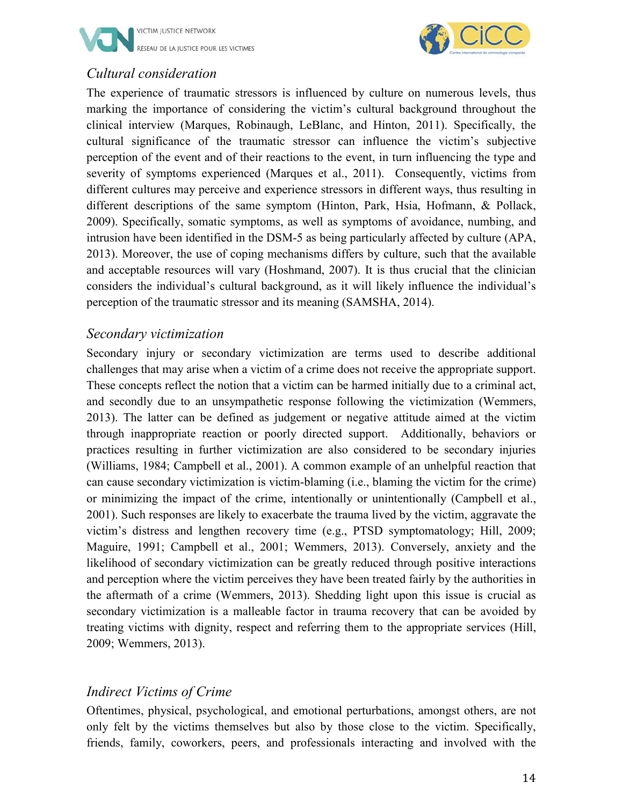



#### *Cultural consideration*

The experience of traumatic stressors is influenced by culture on numerous levels, thus marking the importance of considering the victim's cultural background throughout the clinical interview (Marques, Robinaugh, LeBlanc, and Hinton, 2011). Specifically, the cultural significance of the traumatic stressor can influence the victim's subjective perception of the event and of their reactions to the event, in turn influencing the type and severity of symptoms experienced (Marques et al., 2011). Consequently, victims from different cultures may perceive and experience stressors in different ways, thus resulting in different descriptions of the same symptom (Hinton, Park, Hsia, Hofmann, & Pollack, 2009). Specifically, somatic symptoms, as well as symptoms of avoidance, numbing, and intrusion have been identified in the DSM-5 as being particularly affected by culture (APA, 2013). Moreover, the use of coping mechanisms differs by culture, such that the available and acceptable resources will vary (Hoshmand, 2007). It is thus crucial that the clinician considers the individual's cultural background, as it will likely influence the individual's perception of the traumatic stressor and its meaning (SAMSHA, 2014).

#### *Secondary victimization*

Secondary injury or secondary victimization are terms used to describe additional challenges that may arise when a victim of a crime does not receive the appropriate support. These concepts reflect the notion that a victim can be harmed initially due to a criminal act, and secondly due to an unsympathetic response following the victimization (Wemmers, 2013). The latter can be defined as judgement or negative attitude aimed at the victim through inappropriate reaction or poorly directed support. Additionally, behaviors or practices resulting in further victimization are also considered to be secondary injuries (Williams, 1984; Campbell et al., 2001). A common example of an unhelpful reaction that can cause secondary victimization is victim-blaming (i.e., blaming the victim for the crime) or minimizing the impact of the crime, intentionally or unintentionally (Campbell et al., 2001). Such responses are likely to exacerbate the trauma lived by the victim, aggravate the victim's distress and lengthen recovery time (e.g., PTSD symptomatology; Hill, 2009; Maguire, 1991; Campbell et al., 2001; Wemmers, 2013). Conversely, anxiety and the likelihood of secondary victimization can be greatly reduced through positive interactions and perception where the victim perceives they have been treated fairly by the authorities in the aftermath of a crime (Wemmers, 2013). Shedding light upon this issue is crucial as secondary victimization is a malleable factor in trauma recovery that can be avoided by treating victims with dignity, respect and referring them to the appropriate services (Hill, 2009; Wemmers, 2013).

#### *Indirect Victims of Crime*

Oftentimes, physical, psychological, and emotional perturbations, amongst others, are not only felt by the victims themselves but also by those close to the victim. Specifically, friends, family, coworkers, peers, and professionals interacting and involved with the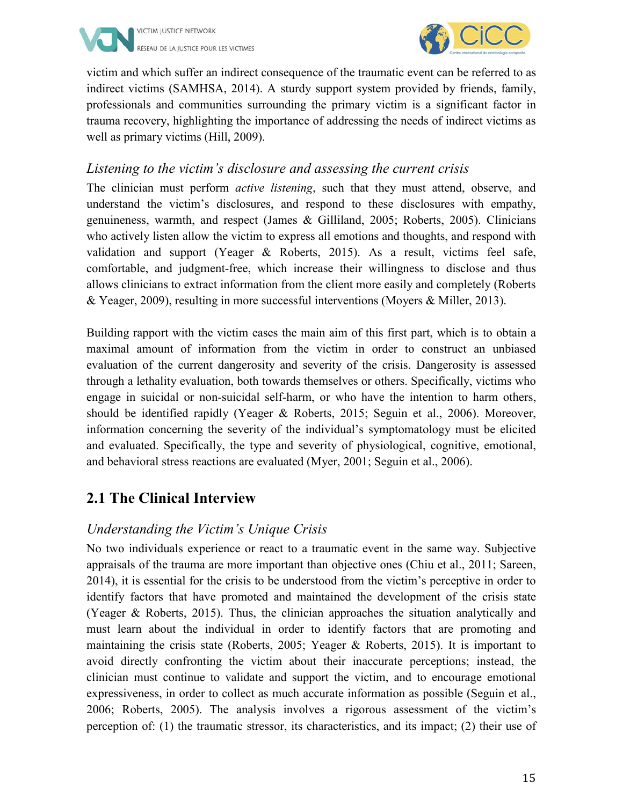



victim and which suffer an indirect consequence of the traumatic event can be referred to as indirect victims (SAMHSA, 2014). A sturdy support system provided by friends, family, professionals and communities surrounding the primary victim is a significant factor in trauma recovery, highlighting the importance of addressing the needs of indirect victims as well as primary victims (Hill, 2009).

#### *Listening to the victim's disclosure and assessing the current crisis*

The clinician must perform *active listening*, such that they must attend, observe, and understand the victim's disclosures, and respond to these disclosures with empathy, genuineness, warmth, and respect (James & Gilliland, 2005; Roberts, 2005). Clinicians who actively listen allow the victim to express all emotions and thoughts, and respond with validation and support (Yeager & Roberts, 2015). As a result, victims feel safe, comfortable, and judgment-free, which increase their willingness to disclose and thus allows clinicians to extract information from the client more easily and completely (Roberts & Yeager, 2009), resulting in more successful interventions (Moyers & Miller, 2013).

Building rapport with the victim eases the main aim of this first part, which is to obtain a maximal amount of information from the victim in order to construct an unbiased evaluation of the current dangerosity and severity of the crisis. Dangerosity is assessed through a lethality evaluation, both towards themselves or others. Specifically, victims who engage in suicidal or non-suicidal self-harm, or who have the intention to harm others, should be identified rapidly (Yeager & Roberts, 2015; Seguin et al., 2006). Moreover, information concerning the severity of the individual's symptomatology must be elicited and evaluated. Specifically, the type and severity of physiological, cognitive, emotional, and behavioral stress reactions are evaluated (Myer, 2001; Seguin et al., 2006).

#### **2.1 The Clinical Interview**

#### *Understanding the Victim's Unique Crisis*

No two individuals experience or react to a traumatic event in the same way. Subjective appraisals of the trauma are more important than objective ones (Chiu et al., 2011; Sareen, 2014), it is essential for the crisis to be understood from the victim's perceptive in order to identify factors that have promoted and maintained the development of the crisis state (Yeager & Roberts, 2015). Thus, the clinician approaches the situation analytically and must learn about the individual in order to identify factors that are promoting and maintaining the crisis state (Roberts, 2005; Yeager & Roberts, 2015). It is important to avoid directly confronting the victim about their inaccurate perceptions; instead, the clinician must continue to validate and support the victim, and to encourage emotional expressiveness, in order to collect as much accurate information as possible (Seguin et al., 2006; Roberts, 2005). The analysis involves a rigorous assessment of the victim's perception of: (1) the traumatic stressor, its characteristics, and its impact; (2) their use of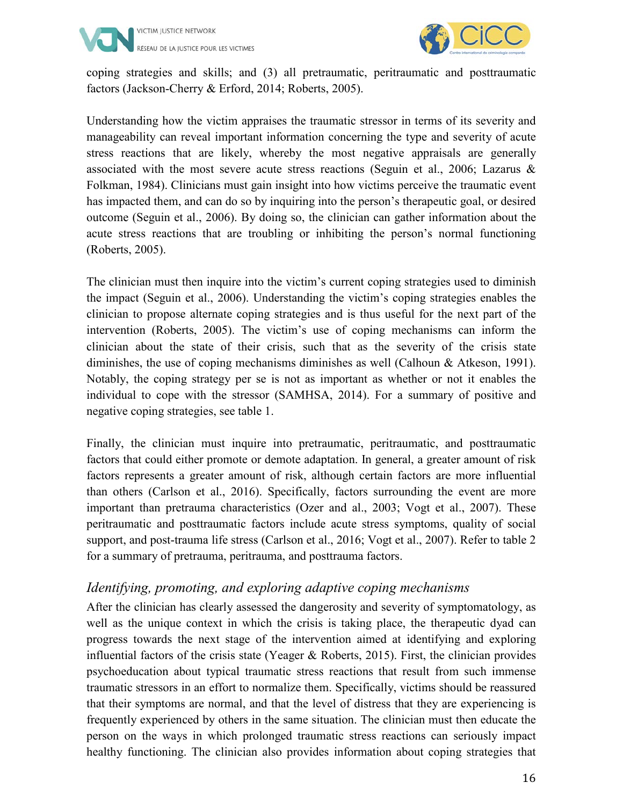



coping strategies and skills; and (3) all pretraumatic, peritraumatic and posttraumatic factors (Jackson-Cherry & Erford, 2014; Roberts, 2005).

Understanding how the victim appraises the traumatic stressor in terms of its severity and manageability can reveal important information concerning the type and severity of acute stress reactions that are likely, whereby the most negative appraisals are generally associated with the most severe acute stress reactions (Seguin et al., 2006; Lazarus & Folkman, 1984). Clinicians must gain insight into how victims perceive the traumatic event has impacted them, and can do so by inquiring into the person's therapeutic goal, or desired outcome (Seguin et al., 2006). By doing so, the clinician can gather information about the acute stress reactions that are troubling or inhibiting the person's normal functioning (Roberts, 2005).

The clinician must then inquire into the victim's current coping strategies used to diminish the impact (Seguin et al., 2006). Understanding the victim's coping strategies enables the clinician to propose alternate coping strategies and is thus useful for the next part of the intervention (Roberts, 2005). The victim's use of coping mechanisms can inform the clinician about the state of their crisis, such that as the severity of the crisis state diminishes, the use of coping mechanisms diminishes as well (Calhoun & Atkeson, 1991). Notably, the coping strategy per se is not as important as whether or not it enables the individual to cope with the stressor (SAMHSA, 2014). For a summary of positive and negative coping strategies, see table 1.

Finally, the clinician must inquire into pretraumatic, peritraumatic, and posttraumatic factors that could either promote or demote adaptation. In general, a greater amount of risk factors represents a greater amount of risk, although certain factors are more influential than others (Carlson et al., 2016). Specifically, factors surrounding the event are more important than pretrauma characteristics (Ozer and al., 2003; Vogt et al., 2007). These peritraumatic and posttraumatic factors include acute stress symptoms, quality of social support, and post-trauma life stress (Carlson et al., 2016; Vogt et al., 2007). Refer to table 2 for a summary of pretrauma, peritrauma, and posttrauma factors.

#### *Identifying, promoting, and exploring adaptive coping mechanisms*

After the clinician has clearly assessed the dangerosity and severity of symptomatology, as well as the unique context in which the crisis is taking place, the therapeutic dyad can progress towards the next stage of the intervention aimed at identifying and exploring influential factors of the crisis state (Yeager & Roberts, 2015). First, the clinician provides psychoeducation about typical traumatic stress reactions that result from such immense traumatic stressors in an effort to normalize them. Specifically, victims should be reassured that their symptoms are normal, and that the level of distress that they are experiencing is frequently experienced by others in the same situation. The clinician must then educate the person on the ways in which prolonged traumatic stress reactions can seriously impact healthy functioning. The clinician also provides information about coping strategies that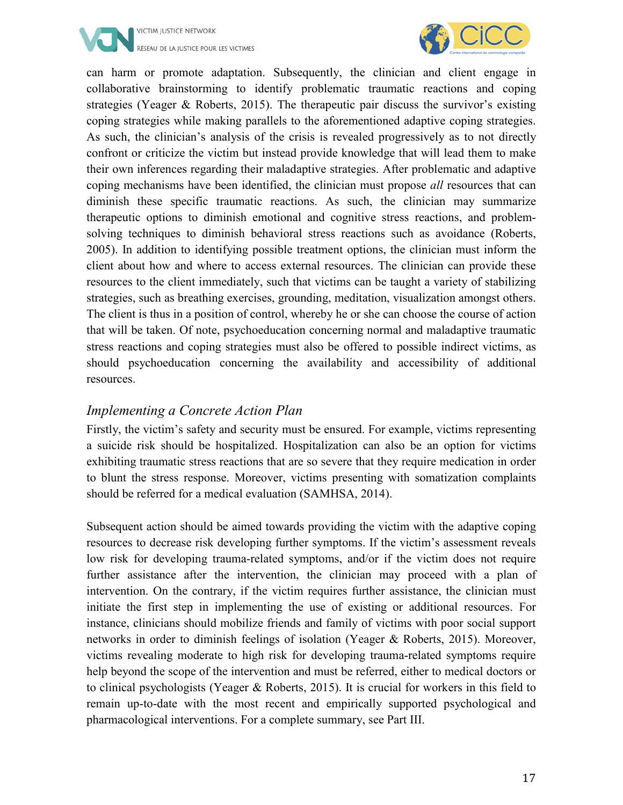



can harm or promote adaptation. Subsequently, the clinician and client engage in collaborative brainstorming to identify problematic traumatic reactions and coping strategies (Yeager & Roberts, 2015). The therapeutic pair discuss the survivor's existing coping strategies while making parallels to the aforementioned adaptive coping strategies. As such, the clinician's analysis of the crisis is revealed progressively as to not directly confront or criticize the victim but instead provide knowledge that will lead them to make their own inferences regarding their maladaptive strategies. After problematic and adaptive coping mechanisms have been identified, the clinician must propose *all* resources that can diminish these specific traumatic reactions. As such, the clinician may summarize therapeutic options to diminish emotional and cognitive stress reactions, and problemsolving techniques to diminish behavioral stress reactions such as avoidance (Roberts, 2005). In addition to identifying possible treatment options, the clinician must inform the client about how and where to access external resources. The clinician can provide these resources to the client immediately, such that victims can be taught a variety of stabilizing strategies, such as breathing exercises, grounding, meditation, visualization amongst others. The client is thus in a position of control, whereby he or she can choose the course of action that will be taken. Of note, psychoeducation concerning normal and maladaptive traumatic stress reactions and coping strategies must also be offered to possible indirect victims, as should psychoeducation concerning the availability and accessibility of additional resources.

#### *Implementing a Concrete Action Plan*

Firstly, the victim's safety and security must be ensured. For example, victims representing a suicide risk should be hospitalized. Hospitalization can also be an option for victims exhibiting traumatic stress reactions that are so severe that they require medication in order to blunt the stress response. Moreover, victims presenting with somatization complaints should be referred for a medical evaluation (SAMHSA, 2014).

Subsequent action should be aimed towards providing the victim with the adaptive coping resources to decrease risk developing further symptoms. If the victim's assessment reveals low risk for developing trauma-related symptoms, and/or if the victim does not require further assistance after the intervention, the clinician may proceed with a plan of intervention. On the contrary, if the victim requires further assistance, the clinician must initiate the first step in implementing the use of existing or additional resources. For instance, clinicians should mobilize friends and family of victims with poor social support networks in order to diminish feelings of isolation (Yeager & Roberts, 2015). Moreover, victims revealing moderate to high risk for developing trauma-related symptoms require help beyond the scope of the intervention and must be referred, either to medical doctors or to clinical psychologists (Yeager & Roberts, 2015). It is crucial for workers in this field to remain up-to-date with the most recent and empirically supported psychological and pharmacological interventions. For a complete summary, see Part III.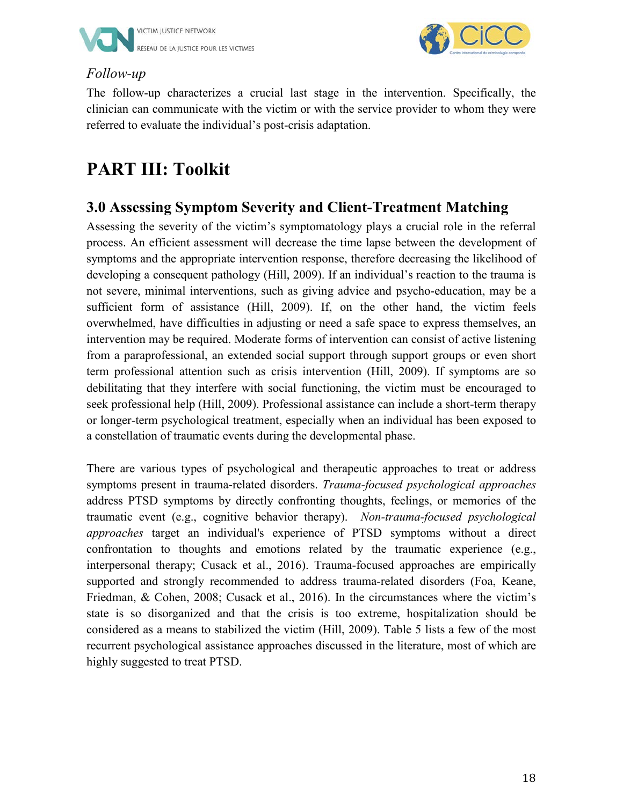



#### *Follow-up*

The follow-up characterizes a crucial last stage in the intervention. Specifically, the clinician can communicate with the victim or with the service provider to whom they were referred to evaluate the individual's post-crisis adaptation.

#### **PART III: Toolkit**

#### **3.0 Assessing Symptom Severity and Client-Treatment Matching**

Assessing the severity of the victim's symptomatology plays a crucial role in the referral process. An efficient assessment will decrease the time lapse between the development of symptoms and the appropriate intervention response, therefore decreasing the likelihood of developing a consequent pathology (Hill, 2009). If an individual's reaction to the trauma is not severe, minimal interventions, such as giving advice and psycho-education, may be a sufficient form of assistance (Hill, 2009). If, on the other hand, the victim feels overwhelmed, have difficulties in adjusting or need a safe space to express themselves, an intervention may be required. Moderate forms of intervention can consist of active listening from a paraprofessional, an extended social support through support groups or even short term professional attention such as crisis intervention (Hill, 2009). If symptoms are so debilitating that they interfere with social functioning, the victim must be encouraged to seek professional help (Hill, 2009). Professional assistance can include a short-term therapy or longer-term psychological treatment, especially when an individual has been exposed to a constellation of traumatic events during the developmental phase.

There are various types of psychological and therapeutic approaches to treat or address symptoms present in trauma-related disorders. *Trauma-focused psychological approaches* address PTSD symptoms by directly confronting thoughts, feelings, or memories of the traumatic event (e.g., cognitive behavior therapy). *Non-trauma-focused psychological approaches* target an individual's experience of PTSD symptoms without a direct confrontation to thoughts and emotions related by the traumatic experience (e.g., interpersonal therapy; Cusack et al., 2016). Trauma-focused approaches are empirically supported and strongly recommended to address trauma-related disorders (Foa, Keane, Friedman, & Cohen, 2008; Cusack et al., 2016). In the circumstances where the victim's state is so disorganized and that the crisis is too extreme, hospitalization should be considered as a means to stabilized the victim (Hill, 2009). Table 5 lists a few of the most recurrent psychological assistance approaches discussed in the literature, most of which are highly suggested to treat PTSD.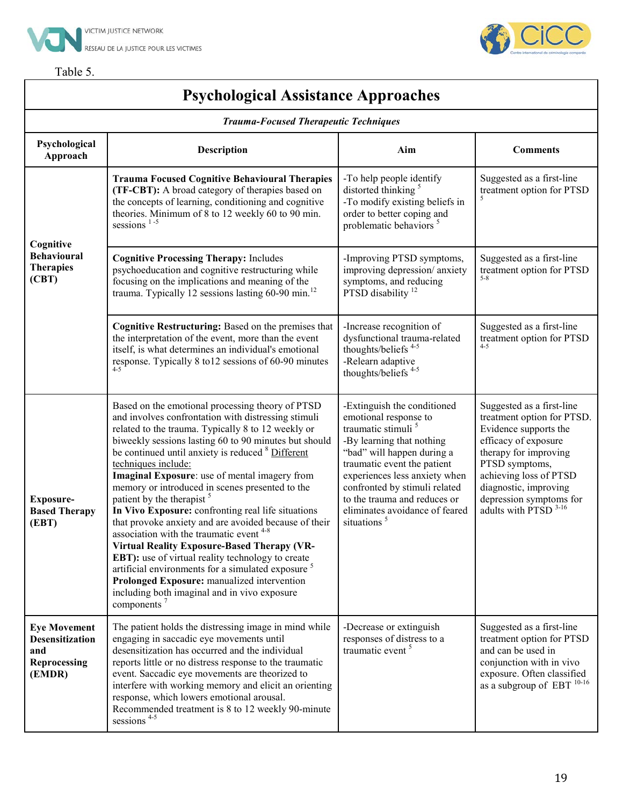

sessions<sup>4-5</sup>



### $\int$  CiCC

#### **Psychological Assistance Approaches**

| <b>Trauma-Focused Therapeutic Techniques</b>                                   |                                                                                                                                                                                                                                                                                                                                                                                                                                                                                                                                                                                                                                                                                                                                                                                                                                                                                                                        |                                                                                                                                                                                                                                                                                                                                                 |                                                                                                                                                                                                                                                                       |  |  |
|--------------------------------------------------------------------------------|------------------------------------------------------------------------------------------------------------------------------------------------------------------------------------------------------------------------------------------------------------------------------------------------------------------------------------------------------------------------------------------------------------------------------------------------------------------------------------------------------------------------------------------------------------------------------------------------------------------------------------------------------------------------------------------------------------------------------------------------------------------------------------------------------------------------------------------------------------------------------------------------------------------------|-------------------------------------------------------------------------------------------------------------------------------------------------------------------------------------------------------------------------------------------------------------------------------------------------------------------------------------------------|-----------------------------------------------------------------------------------------------------------------------------------------------------------------------------------------------------------------------------------------------------------------------|--|--|
| Psychological<br>Approach                                                      | Description                                                                                                                                                                                                                                                                                                                                                                                                                                                                                                                                                                                                                                                                                                                                                                                                                                                                                                            | Aim                                                                                                                                                                                                                                                                                                                                             | <b>Comments</b>                                                                                                                                                                                                                                                       |  |  |
|                                                                                | <b>Trauma Focused Cognitive Behavioural Therapies</b><br>(TF-CBT): A broad category of therapies based on<br>the concepts of learning, conditioning and cognitive<br>theories. Minimum of 8 to 12 weekly 60 to 90 min.<br>sessions $1-5$                                                                                                                                                                                                                                                                                                                                                                                                                                                                                                                                                                                                                                                                               | -To help people identify<br>distorted thinking <sup>5</sup><br>-To modify existing beliefs in<br>order to better coping and<br>problematic behaviors <sup>5</sup>                                                                                                                                                                               | Suggested as a first-line<br>treatment option for PTSD                                                                                                                                                                                                                |  |  |
| Cognitive<br><b>Behavioural</b><br><b>Therapies</b><br>(CBT)                   | <b>Cognitive Processing Therapy: Includes</b><br>psychoeducation and cognitive restructuring while<br>focusing on the implications and meaning of the<br>trauma. Typically 12 sessions lasting $60-90$ min. <sup>12</sup>                                                                                                                                                                                                                                                                                                                                                                                                                                                                                                                                                                                                                                                                                              | -Improving PTSD symptoms,<br>improving depression/ anxiety<br>symptoms, and reducing<br>PTSD disability <sup>12</sup>                                                                                                                                                                                                                           | Suggested as a first-line<br>treatment option for PTSD<br>$5 - 8$                                                                                                                                                                                                     |  |  |
|                                                                                | Cognitive Restructuring: Based on the premises that<br>the interpretation of the event, more than the event<br>itself, is what determines an individual's emotional<br>response. Typically 8 to 12 sessions of 60-90 minutes<br>$4 - 5$                                                                                                                                                                                                                                                                                                                                                                                                                                                                                                                                                                                                                                                                                | -Increase recognition of<br>dysfunctional trauma-related<br>thoughts/beliefs <sup>4-5</sup><br>-Relearn adaptive<br>thoughts/beliefs <sup>4-5</sup>                                                                                                                                                                                             | Suggested as a first-line<br>treatment option for PTSD<br>$4 - 5$                                                                                                                                                                                                     |  |  |
| Exposure-<br><b>Based Therapy</b><br>(EBT)                                     | Based on the emotional processing theory of PTSD<br>and involves confrontation with distressing stimuli<br>related to the trauma. Typically 8 to 12 weekly or<br>biweekly sessions lasting 60 to 90 minutes but should<br>be continued until anxiety is reduced <sup>8</sup> Different<br>techniques include:<br>Imaginal Exposure: use of mental imagery from<br>memory or introduced in scenes presented to the<br>patient by the therapist <sup>5</sup><br>In Vivo Exposure: confronting real life situations<br>that provoke anxiety and are avoided because of their<br>association with the traumatic event <sup>4-8</sup><br>Virtual Reality Exposure-Based Therapy (VR-<br>EBT): use of virtual reality technology to create<br>artificial environments for a simulated exposure <sup>5</sup><br>Prolonged Exposure: manualized intervention<br>including both imaginal and in vivo exposure<br>components $7$ | -Extinguish the conditioned<br>emotional response to<br>traumatic stimuli <sup>5</sup><br>-By learning that nothing<br>"bad" will happen during a<br>traumatic event the patient<br>experiences less anxiety when<br>confronted by stimuli related<br>to the trauma and reduces or<br>eliminates avoidance of feared<br>situations <sup>5</sup> | Suggested as a first-line<br>treatment option for PTSD.<br>Evidence supports the<br>efficacy of exposure<br>therapy for improving<br>PTSD symptoms,<br>achieving loss of PTSD<br>diagnostic, improving<br>depression symptoms for<br>adults with PTSD <sup>3-16</sup> |  |  |
| <b>Eye Movement</b><br><b>Desensitization</b><br>and<br>Reprocessing<br>(EMDR) | The patient holds the distressing image in mind while<br>engaging in saccadic eye movements until<br>desensitization has occurred and the individual<br>reports little or no distress response to the traumatic<br>event. Saccadic eye movements are theorized to<br>interfere with working memory and elicit an orienting<br>response, which lowers emotional arousal.<br>Recommended treatment is 8 to 12 weekly 90-minute                                                                                                                                                                                                                                                                                                                                                                                                                                                                                           | -Decrease or extinguish<br>responses of distress to a<br>traumatic event <sup>5</sup>                                                                                                                                                                                                                                                           | Suggested as a first-line<br>treatment option for PTSD<br>and can be used in<br>conjunction with in vivo<br>exposure. Often classified<br>as a subgroup of EBT $^{10\text{-}16}$                                                                                      |  |  |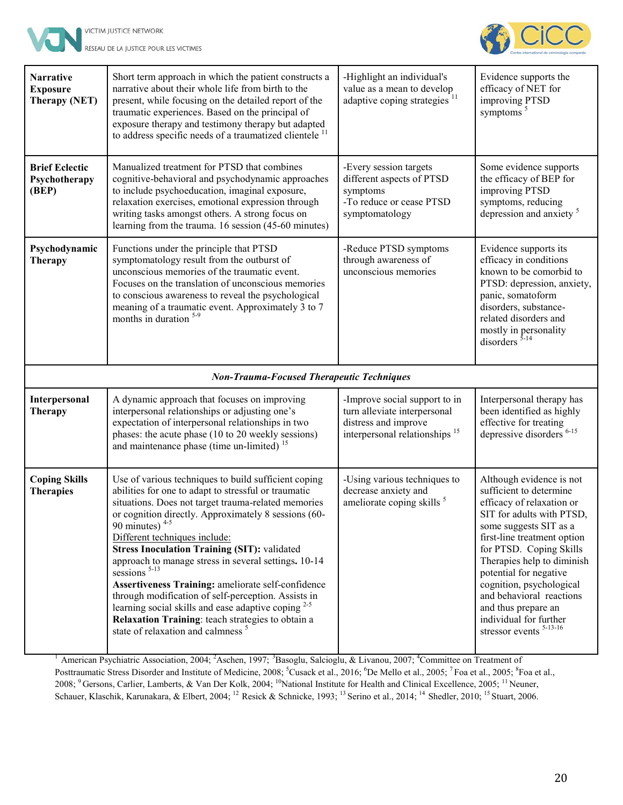



**Narrative Exposure Therapy (NET)** Short term approach in which the patient constructs a narrative about their whole life from birth to the present, while focusing on the detailed report of the traumatic experiences. Based on the principal of exposure therapy and testimony therapy but adapted to address specific needs of a traumatized clientele  $<sup>11</sup>$ </sup> -Highlight an individual's value as a mean to develop adaptive coping strategies<sup>11</sup> Evidence supports the efficacy of NET for improving PTSD symptoms<sup>5</sup> **Brief Eclectic Psychotherapy (BEP)** Manualized treatment for PTSD that combines cognitive-behavioral and psychodynamic approaches to include psychoeducation, imaginal exposure, relaxation exercises, emotional expression through writing tasks amongst others. A strong focus on learning from the trauma. 16 session (45-60 minutes) -Every session targets different aspects of PTSD symptoms -To reduce or cease PTSD symptomatology Some evidence supports the efficacy of BEP for improving PTSD symptoms, reducing depression and anxiety<sup>5</sup> **Psychodynamic Therapy** Functions under the principle that PTSD symptomatology result from the outburst of unconscious memories of the traumatic event. Focuses on the translation of unconscious memories to conscious awareness to reveal the psychological meaning of a traumatic event. Approximately 3 to 7 months in duration <sup>5-9</sup> -Reduce PTSD symptoms through awareness of unconscious memories Evidence supports its efficacy in conditions known to be comorbid to PTSD: depression, anxiety, panic, somatoform disorders, substancerelated disorders and mostly in personality disorders  $5-14$ *Non-Trauma-Focused Therapeutic Techniques* **Interpersonal Therapy** A dynamic approach that focuses on improving interpersonal relationships or adjusting one's expectation of interpersonal relationships in two phases: the acute phase (10 to 20 weekly sessions) and maintenance phase (time un-limited)  $15$ -Improve social support to in turn alleviate interpersonal distress and improve interpersonal relationships <sup>15</sup> Interpersonal therapy has been identified as highly effective for treating depressive disorders<sup>6-15</sup> **Coping Skills Therapies** Use of various techniques to build sufficient coping abilities for one to adapt to stressful or traumatic situations. Does not target trauma-related memories or cognition directly. Approximately 8 sessions (60- 90 minutes)  $4-5$ Different techniques include: **Stress Inoculation Training (SIT):** validated approach to manage stress in several settings**.** 10-14 sessions<sup>5-13</sup> **Assertiveness Training:** ameliorate self-confidence through modification of self-perception. Assists in learning social skills and ease adaptive coping  $2-5$ **Relaxation Training**: teach strategies to obtain a state of relaxation and calmness<sup>5</sup> -Using various techniques to decrease anxiety and ameliorate coping skills<sup>5</sup> Although evidence is not sufficient to determine efficacy of relaxation or SIT for adults with PTSD, some suggests SIT as a first-line treatment option for PTSD. Coping Skills Therapies help to diminish potential for negative cognition, psychological and behavioral reactions and thus prepare an individual for further stressor events  $5-13-16$ 

<sup>1</sup> American Psychiatric Association, 2004; <sup>2</sup>Aschen, 1997; <sup>3</sup>Basoglu, Salcioglu, & Livanou, 2007; <sup>4</sup>Committee on Treatment of Posttraumatic Stress Disorder and Institute of Medicine, 2008; <sup>5</sup>Cusack et al., 2016; <sup>6</sup>De Mello et al., 2005; <sup>7</sup>Foa et al., 2005; <sup>8</sup>Foa et al., 2008; <sup>9</sup> Gersons, Carlier, Lamberts, & Van Der Kolk, 2004; <sup>10</sup>National Institute for Health and Clinical Excellence, 2005; <sup>11</sup> Neuner, Schauer, Klaschik, Karunakara, & Elbert, 2004; <sup>12</sup> Resick & Schnicke, 1993; <sup>13</sup> Serino et al., 2014; <sup>14</sup> Shedler, 2010; <sup>15</sup> Stuart, 2006.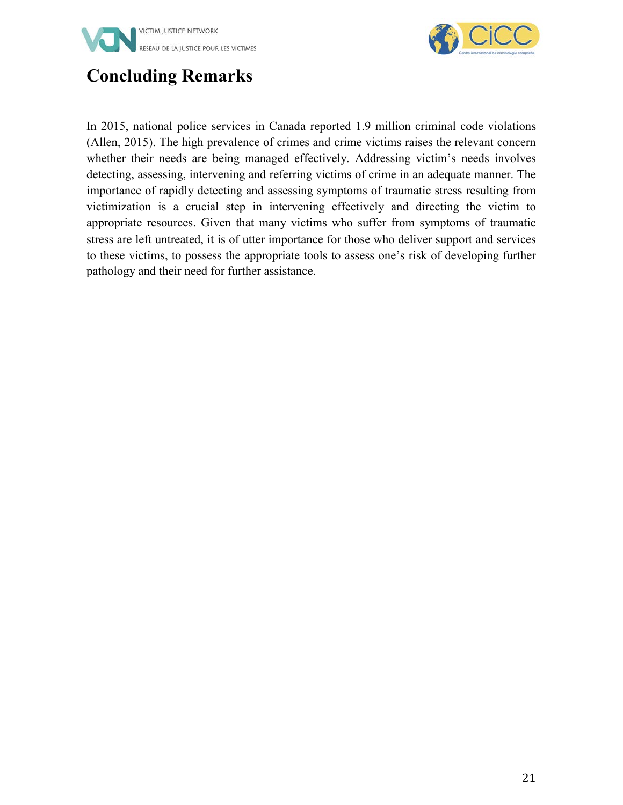



#### **Concluding Remarks**

In 2015, national police services in Canada reported 1.9 million criminal code violations (Allen, 2015). The high prevalence of crimes and crime victims raises the relevant concern whether their needs are being managed effectively. Addressing victim's needs involves detecting, assessing, intervening and referring victims of crime in an adequate manner. The importance of rapidly detecting and assessing symptoms of traumatic stress resulting from victimization is a crucial step in intervening effectively and directing the victim to appropriate resources. Given that many victims who suffer from symptoms of traumatic stress are left untreated, it is of utter importance for those who deliver support and services to these victims, to possess the appropriate tools to assess one's risk of developing further pathology and their need for further assistance.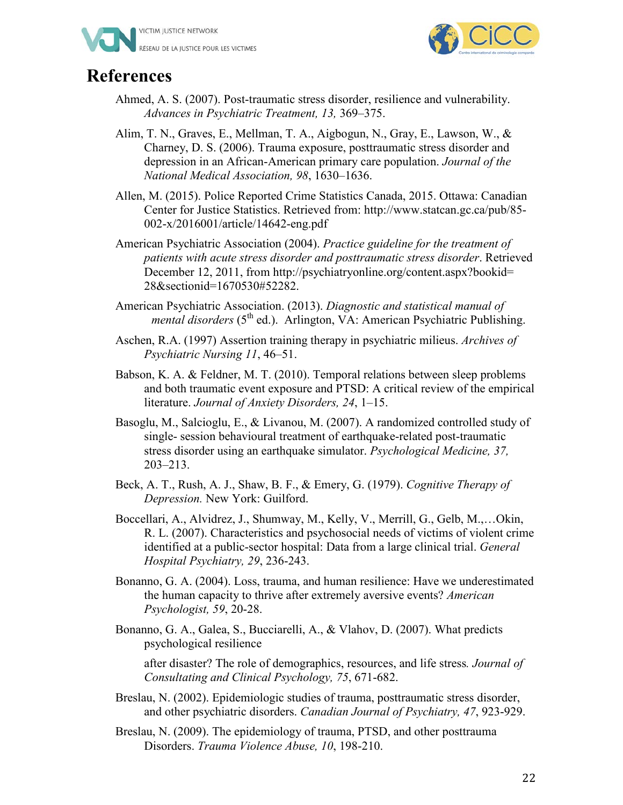



#### **References**

- Ahmed, A. S. (2007). Post-traumatic stress disorder, resilience and vulnerability. *Advances in Psychiatric Treatment, 13,* 369–375.
- Alim, T. N., Graves, E., Mellman, T. A., Aigbogun, N., Gray, E., Lawson, W., & Charney, D. S. (2006). Trauma exposure, posttraumatic stress disorder and depression in an African-American primary care population. *Journal of the National Medical Association, 98*, 1630–1636.
- Allen, M. (2015). Police Reported Crime Statistics Canada, 2015. Ottawa: Canadian Center for Justice Statistics. Retrieved from: http://www.statcan.gc.ca/pub/85- 002-x/2016001/article/14642-eng.pdf
- American Psychiatric Association (2004). *Practice guideline for the treatment of patients with acute stress disorder and posttraumatic stress disorder*. Retrieved December 12, 2011, from http://psychiatryonline.org/content.aspx?bookid= 28&sectionid=1670530#52282.
- American Psychiatric Association. (2013). *Diagnostic and statistical manual of mental disorders* (5<sup>th</sup> ed.). Arlington, VA: American Psychiatric Publishing.
- Aschen, R.A. (1997) Assertion training therapy in psychiatric milieus. *Archives of Psychiatric Nursing 11*, 46–51.
- Babson, K. A. & Feldner, M. T. (2010). Temporal relations between sleep problems and both traumatic event exposure and PTSD: A critical review of the empirical literature. *Journal of Anxiety Disorders, 24*, 1–15.
- Basoglu, M., Salcioglu, E., & Livanou, M. (2007). A randomized controlled study of single- session behavioural treatment of earthquake-related post-traumatic stress disorder using an earthquake simulator. *Psychological Medicine, 37,* 203–213.
- Beck, A. T., Rush, A. J., Shaw, B. F., & Emery, G. (1979). *Cognitive Therapy of Depression.* New York: Guilford.
- Boccellari, A., Alvidrez, J., Shumway, M., Kelly, V., Merrill, G., Gelb, M.,…Okin, R. L. (2007). Characteristics and psychosocial needs of victims of violent crime identified at a public-sector hospital: Data from a large clinical trial. *General Hospital Psychiatry, 29*, 236-243.
- Bonanno, G. A. (2004). Loss, trauma, and human resilience: Have we underestimated the human capacity to thrive after extremely aversive events? *American Psychologist, 59*, 20-28.
- Bonanno, G. A., Galea, S., Bucciarelli, A., & Vlahov, D. (2007). What predicts psychological resilience

after disaster? The role of demographics, resources, and life stress*. Journal of Consultating and Clinical Psychology, 75*, 671-682.

- Breslau, N. (2002). Epidemiologic studies of trauma, posttraumatic stress disorder, and other psychiatric disorders. *Canadian Journal of Psychiatry, 47*, 923-929.
- Breslau, N. (2009). The epidemiology of trauma, PTSD, and other posttrauma Disorders. *Trauma Violence Abuse, 10*, 198-210.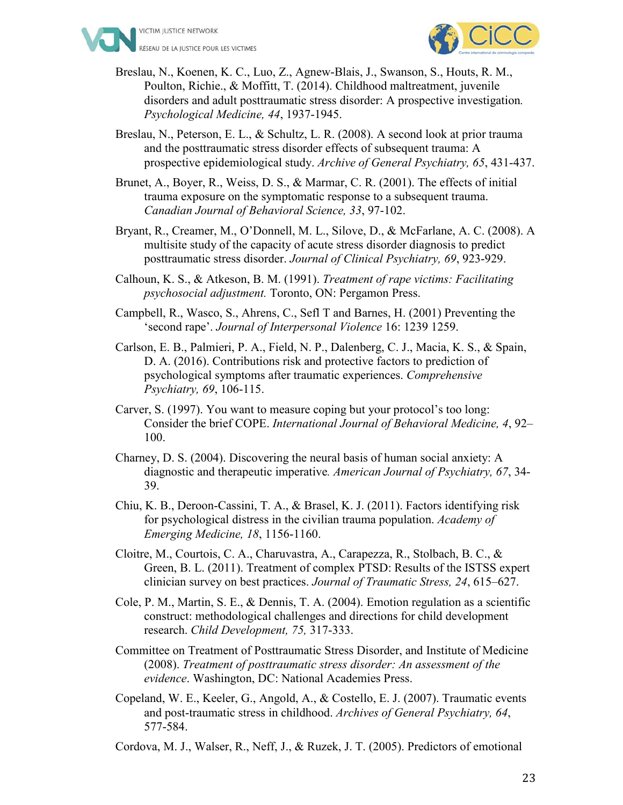



- Breslau, N., Koenen, K. C., Luo, Z., Agnew-Blais, J., Swanson, S., Houts, R. M., Poulton, Richie., & Moffitt, T. (2014). Childhood maltreatment, juvenile disorders and adult posttraumatic stress disorder: A prospective investigation*. Psychological Medicine, 44*, 1937-1945.
- Breslau, N., Peterson, E. L., & Schultz, L. R. (2008). A second look at prior trauma and the posttraumatic stress disorder effects of subsequent trauma: A prospective epidemiological study. *Archive of General Psychiatry, 65*, 431-437.
- Brunet, A., Boyer, R., Weiss, D. S., & Marmar, C. R. (2001). The effects of initial trauma exposure on the symptomatic response to a subsequent trauma. *Canadian Journal of Behavioral Science, 33*, 97-102.
- Bryant, R., Creamer, M., O'Donnell, M. L., Silove, D., & McFarlane, A. C. (2008). A multisite study of the capacity of acute stress disorder diagnosis to predict posttraumatic stress disorder. *Journal of Clinical Psychiatry, 69*, 923-929.
- Calhoun, K. S., & Atkeson, B. M. (1991). *Treatment of rape victims: Facilitating psychosocial adjustment.* Toronto, ON: Pergamon Press.
- Campbell, R., Wasco, S., Ahrens, C., Sefl T and Barnes, H. (2001) Preventing the 'second rape'. *Journal of Interpersonal Violence* 16: 1239 1259.
- Carlson, E. B., Palmieri, P. A., Field, N. P., Dalenberg, C. J., Macia, K. S., & Spain, D. A. (2016). Contributions risk and protective factors to prediction of psychological symptoms after traumatic experiences. *Comprehensive Psychiatry, 69*, 106-115.
- Carver, S. (1997). You want to measure coping but your protocol's too long: Consider the brief COPE. *International Journal of Behavioral Medicine, 4*, 92– 100.
- Charney, D. S. (2004). Discovering the neural basis of human social anxiety: A diagnostic and therapeutic imperative*. American Journal of Psychiatry, 67*, 34- 39.
- Chiu, K. B., Deroon-Cassini, T. A., & Brasel, K. J. (2011). Factors identifying risk for psychological distress in the civilian trauma population. *Academy of Emerging Medicine, 18*, 1156-1160.
- Cloitre, M., Courtois, C. A., Charuvastra, A., Carapezza, R., Stolbach, B. C., & Green, B. L. (2011). Treatment of complex PTSD: Results of the ISTSS expert clinician survey on best practices. *Journal of Traumatic Stress, 24*, 615–627.
- Cole, P. M., Martin, S. E., & Dennis, T. A. (2004). Emotion regulation as a scientific construct: methodological challenges and directions for child development research. *Child Development, 75,* 317-333.
- Committee on Treatment of Posttraumatic Stress Disorder, and Institute of Medicine (2008). *Treatment of posttraumatic stress disorder: An assessment of the evidence*. Washington, DC: National Academies Press.
- Copeland, W. E., Keeler, G., Angold, A., & Costello, E. J. (2007). Traumatic events and post-traumatic stress in childhood. *Archives of General Psychiatry, 64*, 577-584.
- Cordova, M. J., Walser, R., Neff, J., & Ruzek, J. T. (2005). Predictors of emotional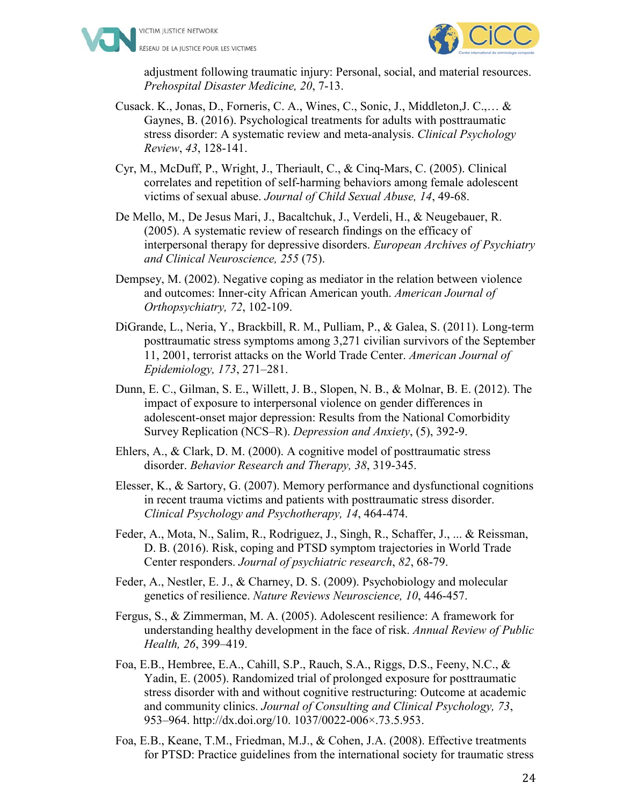



adjustment following traumatic injury: Personal, social, and material resources. *Prehospital Disaster Medicine, 20*, 7-13.

- Cusack. K., Jonas, D., Forneris, C. A., Wines, C., Sonic, J., Middleton,J. C.,… & Gaynes, B. (2016). Psychological treatments for adults with posttraumatic stress disorder: A systematic review and meta-analysis. *Clinical Psychology Review*, *43*, 128-141.
- Cyr, M., McDuff, P., Wright, J., Theriault, C., & Cinq-Mars, C. (2005). Clinical correlates and repetition of self-harming behaviors among female adolescent victims of sexual abuse. *Journal of Child Sexual Abuse, 14*, 49-68.
- De Mello, M., De Jesus Mari, J., Bacaltchuk, J., Verdeli, H., & Neugebauer, R. (2005). A systematic review of research findings on the efficacy of interpersonal therapy for depressive disorders. *European Archives of Psychiatry and Clinical Neuroscience, 255* (75).
- Dempsey, M. (2002). Negative coping as mediator in the relation between violence and outcomes: Inner-city African American youth. *American Journal of Orthopsychiatry, 72*, 102-109.
- DiGrande, L., Neria, Y., Brackbill, R. M., Pulliam, P., & Galea, S. (2011). Long-term posttraumatic stress symptoms among 3,271 civilian survivors of the September 11, 2001, terrorist attacks on the World Trade Center. *American Journal of Epidemiology, 173*, 271–281.
- Dunn, E. C., Gilman, S. E., Willett, J. B., Slopen, N. B., & Molnar, B. E. (2012). The impact of exposure to interpersonal violence on gender differences in adolescent-onset major depression: Results from the National Comorbidity Survey Replication (NCS–R). *Depression and Anxiety*, (5), 392-9.
- Ehlers, A., & Clark, D. M. (2000). A cognitive model of posttraumatic stress disorder. *Behavior Research and Therapy, 38*, 319-345.
- Elesser, K., & Sartory, G. (2007). Memory performance and dysfunctional cognitions in recent trauma victims and patients with posttraumatic stress disorder. *Clinical Psychology and Psychotherapy, 14*, 464-474.
- Feder, A., Mota, N., Salim, R., Rodriguez, J., Singh, R., Schaffer, J., ... & Reissman, D. B. (2016). Risk, coping and PTSD symptom trajectories in World Trade Center responders. *Journal of psychiatric research*, *82*, 68-79.
- Feder, A., Nestler, E. J., & Charney, D. S. (2009). Psychobiology and molecular genetics of resilience. *Nature Reviews Neuroscience, 10*, 446-457.
- Fergus, S., & Zimmerman, M. A. (2005). Adolescent resilience: A framework for understanding healthy development in the face of risk. *Annual Review of Public Health, 26*, 399–419.
- Foa, E.B., Hembree, E.A., Cahill, S.P., Rauch, S.A., Riggs, D.S., Feeny, N.C., & Yadin, E. (2005). Randomized trial of prolonged exposure for posttraumatic stress disorder with and without cognitive restructuring: Outcome at academic and community clinics. *Journal of Consulting and Clinical Psychology, 73*, 953–964. http://dx.doi.org/10. 1037/0022-006×.73.5.953.
- Foa, E.B., Keane, T.M., Friedman, M.J., & Cohen, J.A. (2008). Effective treatments for PTSD: Practice guidelines from the international society for traumatic stress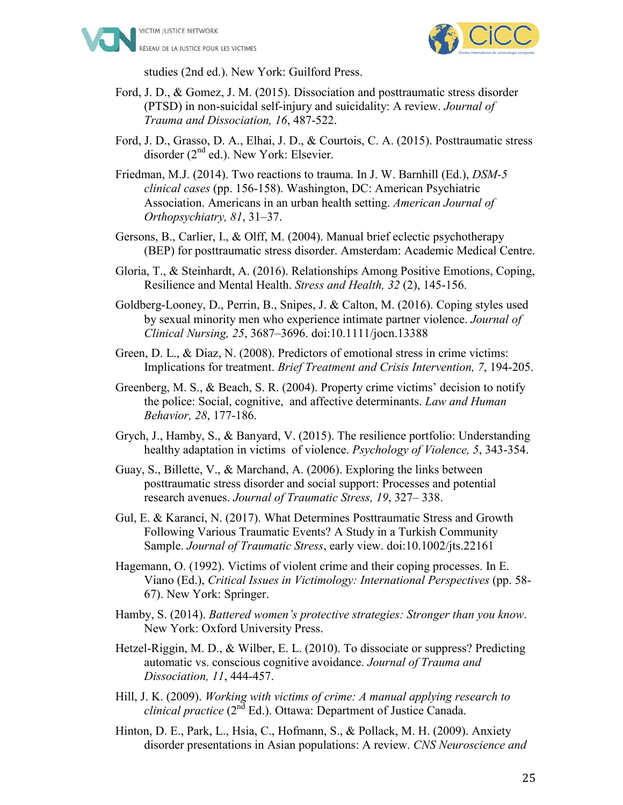



studies (2nd ed.). New York: Guilford Press.

- Ford, J. D., & Gomez, J. M. (2015). Dissociation and posttraumatic stress disorder (PTSD) in non-suicidal self-injury and suicidality: A review. *Journal of Trauma and Dissociation, 16*, 487-522.
- Ford, J. D., Grasso, D. A., Elhai, J. D., & Courtois, C. A. (2015). Posttraumatic stress disorder (2<sup>nd</sup> ed.). New York: Elsevier.
- Friedman, M.J. (2014). Two reactions to trauma. In J. W. Barnhill (Ed.), *DSM-5 clinical cases* (pp. 156-158). Washington, DC: American Psychiatric Association. Americans in an urban health setting. *American Journal of Orthopsychiatry, 81*, 31–37.
- Gersons, B., Carlier, I., & Olff, M. (2004). Manual brief eclectic psychotherapy (BEP) for posttraumatic stress disorder. Amsterdam: Academic Medical Centre.
- Gloria, T., & Steinhardt, A. (2016). Relationships Among Positive Emotions, Coping, Resilience and Mental Health. *Stress and Health, 32* (2), 145-156.
- Goldberg-Looney, D., Perrin, B., Snipes, J. & Calton, M. (2016). Coping styles used by sexual minority men who experience intimate partner violence. *Journal of Clinical Nursing, 25*, 3687–3696. doi:10.1111/jocn.13388
- Green, D. L., & Diaz, N. (2008). Predictors of emotional stress in crime victims: Implications for treatment. *Brief Treatment and Crisis Intervention, 7*, 194-205.
- Greenberg, M. S., & Beach, S. R. (2004). Property crime victims' decision to notify the police: Social, cognitive, and affective determinants. *Law and Human Behavior, 28*, 177-186.
- Grych, J., Hamby, S., & Banyard, V. (2015). The resilience portfolio: Understanding healthy adaptation in victims of violence. *Psychology of Violence, 5*, 343-354.
- Guay, S., Billette, V., & Marchand, A. (2006). Exploring the links between posttraumatic stress disorder and social support: Processes and potential research avenues. *Journal of Traumatic Stress, 19*, 327– 338.
- Gul, E. & Karanci, N. (2017). What Determines Posttraumatic Stress and Growth Following Various Traumatic Events? A Study in a Turkish Community Sample. *Journal of Traumatic Stress*, early view. doi:10.1002/jts.22161
- Hagemann, O. (1992). Victims of violent crime and their coping processes. In E. Viano (Ed.), *Critical Issues in Victimology: International Perspectives* (pp. 58- 67). New York: Springer.
- Hamby, S. (2014). *Battered women's protective strategies: Stronger than you know*. New York: Oxford University Press.
- Hetzel-Riggin, M. D., & Wilber, E. L. (2010). To dissociate or suppress? Predicting automatic vs. conscious cognitive avoidance. *Journal of Trauma and Dissociation, 11*, 444-457.
- Hill, J. K. (2009). *Working with victims of crime: A manual applying research to clinical practice* (2nd Ed.). Ottawa: Department of Justice Canada.
- Hinton, D. E., Park, L., Hsia, C., Hofmann, S., & Pollack, M. H. (2009). Anxiety disorder presentations in Asian populations: A review. *CNS Neuroscience and*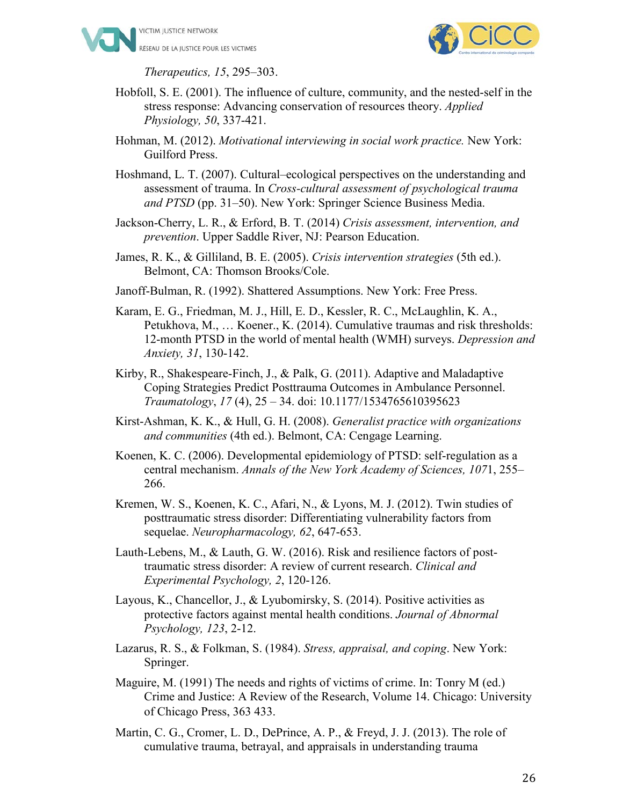



*Therapeutics, 15*, 295–303.

Hobfoll, S. E. (2001). The influence of culture, community, and the nested-self in the stress response: Advancing conservation of resources theory. *Applied Physiology, 50*, 337-421.

Hohman, M. (2012). *Motivational interviewing in social work practice.* New York: Guilford Press.

Hoshmand, L. T. (2007). Cultural–ecological perspectives on the understanding and assessment of trauma. In *Cross-cultural assessment of psychological trauma and PTSD* (pp. 31–50). New York: Springer Science Business Media.

Jackson-Cherry, L. R., & Erford, B. T. (2014) *Crisis assessment, intervention, and prevention*. Upper Saddle River, NJ: Pearson Education.

James, R. K., & Gilliland, B. E. (2005). *Crisis intervention strategies* (5th ed.). Belmont, CA: Thomson Brooks/Cole.

Janoff-Bulman, R. (1992). Shattered Assumptions. New York: Free Press.

- Karam, E. G., Friedman, M. J., Hill, E. D., Kessler, R. C., McLaughlin, K. A., Petukhova, M., … Koener., K. (2014). Cumulative traumas and risk thresholds: 12-month PTSD in the world of mental health (WMH) surveys. *Depression and Anxiety, 31*, 130-142.
- Kirby, R., Shakespeare-Finch, J., & Palk, G. (2011). Adaptive and Maladaptive Coping Strategies Predict Posttrauma Outcomes in Ambulance Personnel. *Traumatology*, *17* (4), 25 – 34. doi: 10.1177/1534765610395623
- Kirst-Ashman, K. K., & Hull, G. H. (2008). *Generalist practice with organizations and communities* (4th ed.). Belmont, CA: Cengage Learning.
- Koenen, K. C. (2006). Developmental epidemiology of PTSD: self-regulation as a central mechanism. *Annals of the New York Academy of Sciences, 107*1, 255– 266.
- Kremen, W. S., Koenen, K. C., Afari, N., & Lyons, M. J. (2012). Twin studies of posttraumatic stress disorder: Differentiating vulnerability factors from sequelae. *Neuropharmacology, 62*, 647-653.
- Lauth-Lebens, M., & Lauth, G. W. (2016). Risk and resilience factors of posttraumatic stress disorder: A review of current research. *Clinical and Experimental Psychology, 2*, 120-126.
- Layous, K., Chancellor, J., & Lyubomirsky, S. (2014). Positive activities as protective factors against mental health conditions. *Journal of Abnormal Psychology, 123*, 2-12.
- Lazarus, R. S., & Folkman, S. (1984). *Stress, appraisal, and coping*. New York: Springer.
- Maguire, M. (1991) The needs and rights of victims of crime. In: Tonry M (ed.) Crime and Justice: A Review of the Research, Volume 14. Chicago: University of Chicago Press, 363 433.
- Martin, C. G., Cromer, L. D., DePrince, A. P., & Freyd, J. J. (2013). The role of cumulative trauma, betrayal, and appraisals in understanding trauma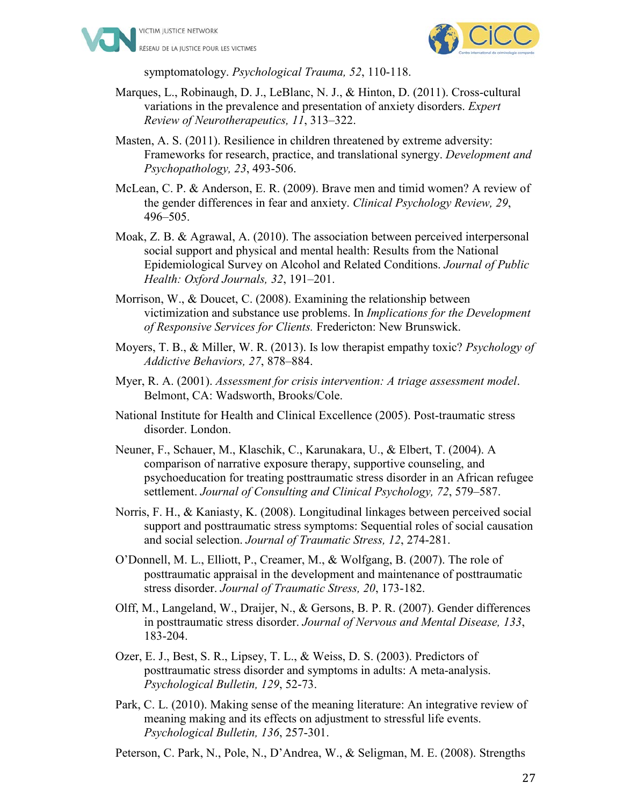



symptomatology. *Psychological Trauma, 52*, 110-118.

- Marques, L., Robinaugh, D. J., LeBlanc, N. J., & Hinton, D. (2011). Cross-cultural variations in the prevalence and presentation of anxiety disorders. *Expert Review of Neurotherapeutics, 11*, 313–322.
- Masten, A. S. (2011). Resilience in children threatened by extreme adversity: Frameworks for research, practice, and translational synergy. *Development and Psychopathology, 23*, 493-506.
- McLean, C. P. & Anderson, E. R. (2009). Brave men and timid women? A review of the gender differences in fear and anxiety. *Clinical Psychology Review, 29*, 496–505.
- Moak, Z. B. & Agrawal, A. (2010). The association between perceived interpersonal social support and physical and mental health: Results from the National Epidemiological Survey on Alcohol and Related Conditions. *Journal of Public Health: Oxford Journals, 32*, 191–201.
- Morrison, W., & Doucet, C. (2008). Examining the relationship between victimization and substance use problems. In *Implications for the Development of Responsive Services for Clients.* Fredericton: New Brunswick.
- Moyers, T. B., & Miller, W. R. (2013). Is low therapist empathy toxic? *Psychology of Addictive Behaviors, 27*, 878–884.
- Myer, R. A. (2001). *Assessment for crisis intervention: A triage assessment model*. Belmont, CA: Wadsworth, Brooks/Cole.
- National Institute for Health and Clinical Excellence (2005). Post-traumatic stress disorder. London.
- Neuner, F., Schauer, M., Klaschik, C., Karunakara, U., & Elbert, T. (2004). A comparison of narrative exposure therapy, supportive counseling, and psychoeducation for treating posttraumatic stress disorder in an African refugee settlement. *Journal of Consulting and Clinical Psychology, 72*, 579–587.
- Norris, F. H., & Kaniasty, K. (2008). Longitudinal linkages between perceived social support and posttraumatic stress symptoms: Sequential roles of social causation and social selection. *Journal of Traumatic Stress, 12*, 274-281.
- O'Donnell, M. L., Elliott, P., Creamer, M., & Wolfgang, B. (2007). The role of posttraumatic appraisal in the development and maintenance of posttraumatic stress disorder. *Journal of Traumatic Stress, 20*, 173-182.
- Olff, M., Langeland, W., Draijer, N., & Gersons, B. P. R. (2007). Gender differences in posttraumatic stress disorder. *Journal of Nervous and Mental Disease, 133*, 183-204.
- Ozer, E. J., Best, S. R., Lipsey, T. L., & Weiss, D. S. (2003). Predictors of posttraumatic stress disorder and symptoms in adults: A meta-analysis. *Psychological Bulletin, 129*, 52-73.
- Park, C. L. (2010). Making sense of the meaning literature: An integrative review of meaning making and its effects on adjustment to stressful life events. *Psychological Bulletin, 136*, 257-301.

Peterson, C. Park, N., Pole, N., D'Andrea, W., & Seligman, M. E. (2008). Strengths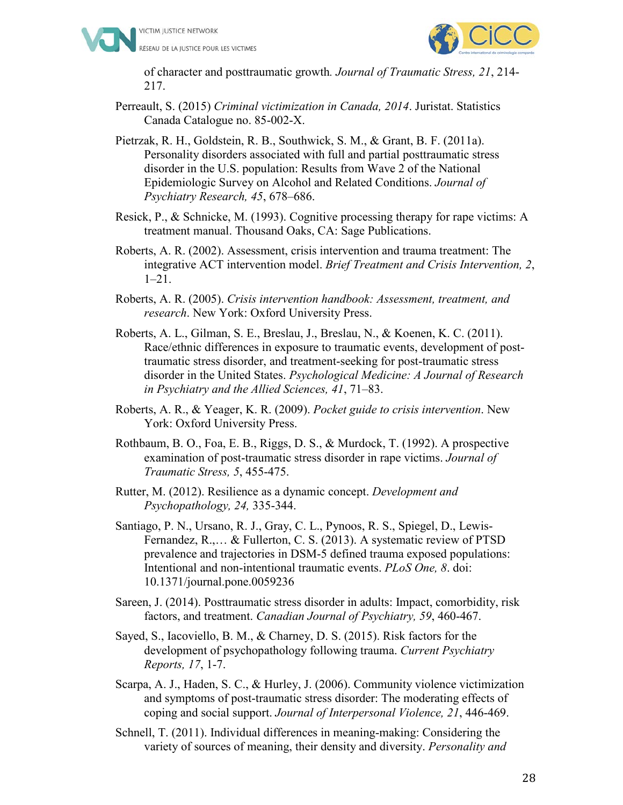



of character and posttraumatic growth*. Journal of Traumatic Stress, 21*, 214- 217.

- Perreault, S. (2015) *Criminal victimization in Canada, 2014*. Juristat. Statistics Canada Catalogue no. 85-002-X.
- Pietrzak, R. H., Goldstein, R. B., Southwick, S. M., & Grant, B. F. (2011a). Personality disorders associated with full and partial posttraumatic stress disorder in the U.S. population: Results from Wave 2 of the National Epidemiologic Survey on Alcohol and Related Conditions. *Journal of Psychiatry Research, 45*, 678–686.
- Resick, P., & Schnicke, M. (1993). Cognitive processing therapy for rape victims: A treatment manual. Thousand Oaks, CA: Sage Publications.
- Roberts, A. R. (2002). Assessment, crisis intervention and trauma treatment: The integrative ACT intervention model. *Brief Treatment and Crisis Intervention, 2*, 1–21.
- Roberts, A. R. (2005). *Crisis intervention handbook: Assessment, treatment, and research*. New York: Oxford University Press.
- Roberts, A. L., Gilman, S. E., Breslau, J., Breslau, N., & Koenen, K. C. (2011). Race/ethnic differences in exposure to traumatic events, development of posttraumatic stress disorder, and treatment-seeking for post-traumatic stress disorder in the United States. *Psychological Medicine: A Journal of Research in Psychiatry and the Allied Sciences, 41*, 71–83.
- Roberts, A. R., & Yeager, K. R. (2009). *Pocket guide to crisis intervention*. New York: Oxford University Press.
- Rothbaum, B. O., Foa, E. B., Riggs, D. S., & Murdock, T. (1992). A prospective examination of post-traumatic stress disorder in rape victims. *Journal of Traumatic Stress, 5*, 455-475.
- Rutter, M. (2012). Resilience as a dynamic concept. *Development and Psychopathology, 24,* 335-344.
- Santiago, P. N., Ursano, R. J., Gray, C. L., Pynoos, R. S., Spiegel, D., Lewis-Fernandez, R.,… & Fullerton, C. S. (2013). A systematic review of PTSD prevalence and trajectories in DSM-5 defined trauma exposed populations: Intentional and non-intentional traumatic events. *PLoS One, 8*. doi: 10.1371/journal.pone.0059236
- Sareen, J. (2014). Posttraumatic stress disorder in adults: Impact, comorbidity, risk factors, and treatment. *Canadian Journal of Psychiatry, 59*, 460-467.
- Sayed, S., Iacoviello, B. M., & Charney, D. S. (2015). Risk factors for the development of psychopathology following trauma. *Current Psychiatry Reports, 17*, 1-7.
- Scarpa, A. J., Haden, S. C., & Hurley, J. (2006). Community violence victimization and symptoms of post-traumatic stress disorder: The moderating effects of coping and social support. *Journal of Interpersonal Violence, 21*, 446-469.
- Schnell, T. (2011). Individual differences in meaning-making: Considering the variety of sources of meaning, their density and diversity. *Personality and*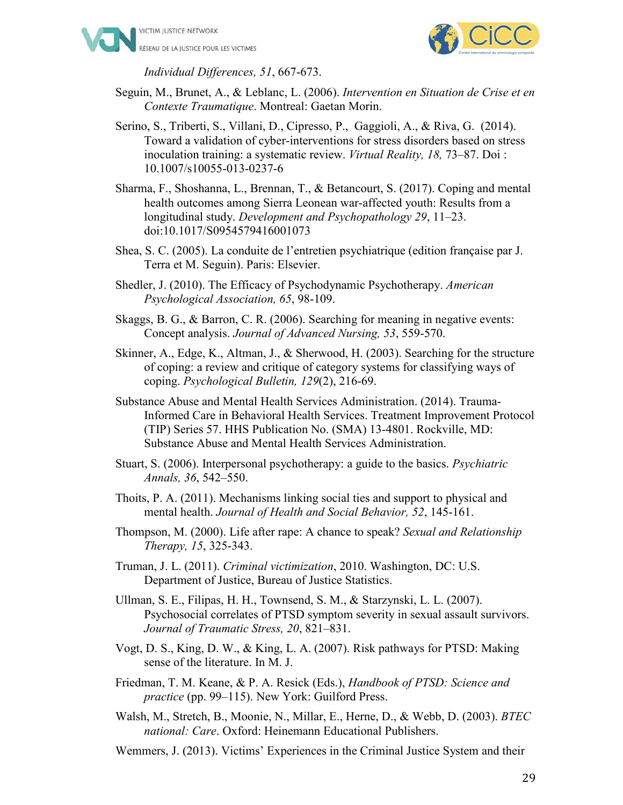



*Individual Differences, 51*, 667-673.

- Seguin, M., Brunet, A., & Leblanc, L. (2006). *Intervention en Situation de Crise et en Contexte Traumatique*. Montreal: Gaetan Morin.
- Serino, S., Triberti, S., Villani, D., Cipresso, P., Gaggioli, A., & Riva, G. (2014). Toward a validation of cyber-interventions for stress disorders based on stress inoculation training: a systematic review. *Virtual Reality, 18,* 73–87. Doi : 10.1007/s10055-013-0237-6
- Sharma, F., Shoshanna, L., Brennan, T., & Betancourt, S. (2017). Coping and mental health outcomes among Sierra Leonean war-affected youth: Results from a longitudinal study. *Development and Psychopathology 29*, 11–23. doi:10.1017/S0954579416001073
- Shea, S. C. (2005). La conduite de l'entretien psychiatrique (edition française par J. Terra et M. Seguin). Paris: Elsevier.
- Shedler, J. (2010). The Efficacy of Psychodynamic Psychotherapy. *American Psychological Association, 65*, 98-109.
- Skaggs, B. G., & Barron, C. R. (2006). Searching for meaning in negative events: Concept analysis. *Journal of Advanced Nursing, 53*, 559-570.
- Skinner, A., Edge, K., Altman, J., & Sherwood, H. (2003). Searching for the structure of coping: a review and critique of category systems for classifying ways of coping. *Psychological Bulletin, 129*(2), 216-69.
- Substance Abuse and Mental Health Services Administration. (2014). Trauma-Informed Care in Behavioral Health Services. Treatment Improvement Protocol (TIP) Series 57. HHS Publication No. (SMA) 13-4801. Rockville, MD: Substance Abuse and Mental Health Services Administration.
- Stuart, S. (2006). Interpersonal psychotherapy: a guide to the basics. *Psychiatric Annals, 36*, 542–550.
- Thoits, P. A. (2011). Mechanisms linking social ties and support to physical and mental health. *Journal of Health and Social Behavior, 52*, 145-161.
- Thompson, M. (2000). Life after rape: A chance to speak? *Sexual and Relationship Therapy, 15*, 325-343.
- Truman, J. L. (2011). *Criminal victimization*, 2010. Washington, DC: U.S. Department of Justice, Bureau of Justice Statistics.
- Ullman, S. E., Filipas, H. H., Townsend, S. M., & Starzynski, L. L. (2007). Psychosocial correlates of PTSD symptom severity in sexual assault survivors. *Journal of Traumatic Stress, 20*, 821–831.
- Vogt, D. S., King, D. W., & King, L. A. (2007). Risk pathways for PTSD: Making sense of the literature. In M. J.
- Friedman, T. M. Keane, & P. A. Resick (Eds.), *Handbook of PTSD: Science and practice* (pp. 99–115). New York: Guilford Press.
- Walsh, M., Stretch, B., Moonie, N., Millar, E., Herne, D., & Webb, D. (2003). *BTEC national: Care*. Oxford: Heinemann Educational Publishers.
- Wemmers, J. (2013). Victims' Experiences in the Criminal Justice System and their